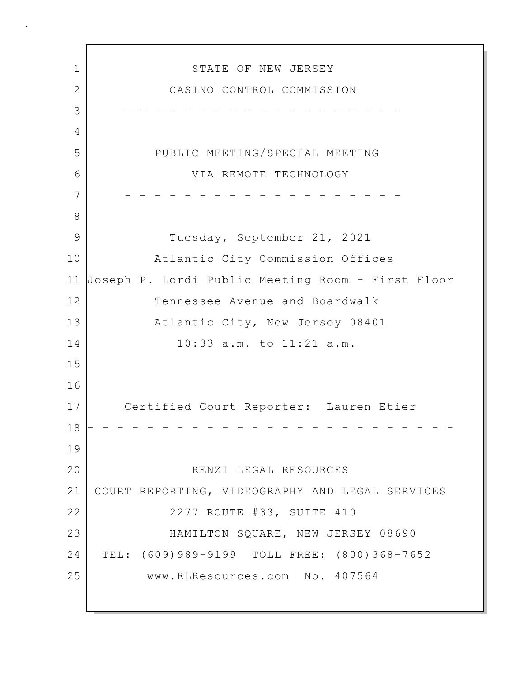1 STATE OF NEW JERSEY 2 CASINO CONTROL COMMISSION 3 - - - - - - - - - - - - - - - - - - - 4 5 PUBLIC MEETING/SPECIAL MEETING 6 VIA REMOTE TECHNOLOGY 7 - - - - - - - - - - - - - - - - - - - 8 9 Tuesday, September 21, 2021 10 Atlantic City Commission Offices 11 Joseph P. Lordi Public Meeting Room - First Floor 12 Tennessee Avenue and Boardwalk 13 Atlantic City, New Jersey 08401 14 10:33 a.m. to 11:21 a.m. 15 16 17 Certified Court Reporter: Lauren Etier 18 - - - - - - - - - - - - - - - - - - - - - - - - - 19 20 RENZI LEGAL RESOURCES 21 COURT REPORTING, VIDEOGRAPHY AND LEGAL SERVICES 22 | 2277 ROUTE #33, SUITE 410 23 HAMILTON SQUARE, NEW JERSEY 08690 24 TEL: (609)989-9199 TOLL FREE: (800)368-7652 25 www.RLResources.com No. 407564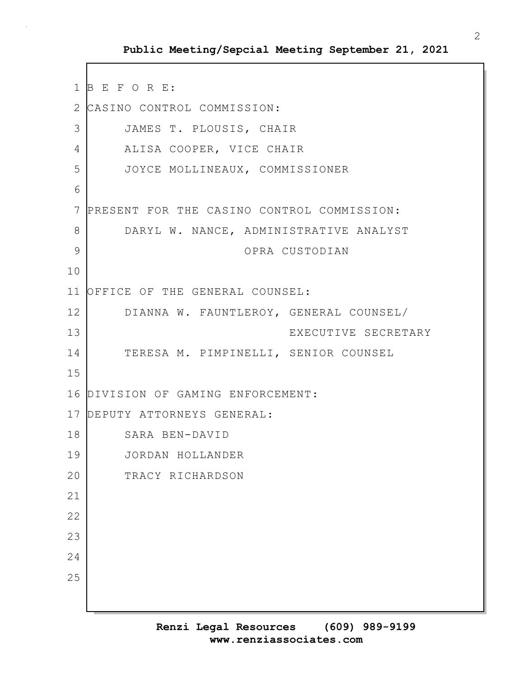```
1 B E F O R E:
2 CASINO CONTROL COMMISSION:
3 JAMES T. PLOUSIS, CHAIR
4 ALISA COOPER, VICE CHAIR
5 JOYCE MOLLINEAUX, COMMISSIONER
6
7 PRESENT FOR THE CASINO CONTROL COMMISSION:
8 DARYL W. NANCE, ADMINISTRATIVE ANALYST
9 OPRA CUSTODIAN
10
11 OFFICE OF THE GENERAL COUNSEL:
12 DIANNA W. FAUNTLEROY, GENERAL COUNSEL/
13 EXECUTIVE SECRETARY
14 TERESA M. PIMPINELLI, SENIOR COUNSEL
15
16 DIVISION OF GAMING ENFORCEMENT:
17 DEPUTY ATTORNEYS GENERAL:
18 SARA BEN-DAVID
19 JORDAN HOLLANDER
20 TRACY RICHARDSON
21
22
23
24
25
```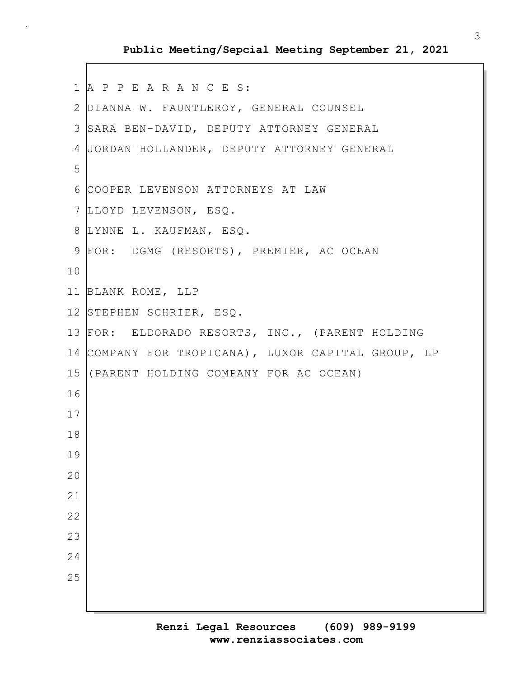```
1 A P P E A R A N C E S:
2 DIANNA W. FAUNTLEROY, GENERAL COUNSEL
3 SARA BEN-DAVID, DEPUTY ATTORNEY GENERAL
4 JORDAN HOLLANDER, DEPUTY ATTORNEY GENERAL
5
6 COOPER LEVENSON ATTORNEYS AT LAW
7 LLOYD LEVENSON, ESQ.
8 LYNNE L. KAUFMAN, ESQ.
9 FOR: DGMG (RESORTS), PREMIER, AC OCEAN
10
11 BLANK ROME, LLP
12 STEPHEN SCHRIER, ESQ.
13 FOR: ELDORADO RESORTS, INC., (PARENT HOLDING
14 COMPANY FOR TROPICANA), LUXOR CAPITAL GROUP, LP
15 (PARENT HOLDING COMPANY FOR AC OCEAN)
16
17
18
19
20
21
22
23
24
25
```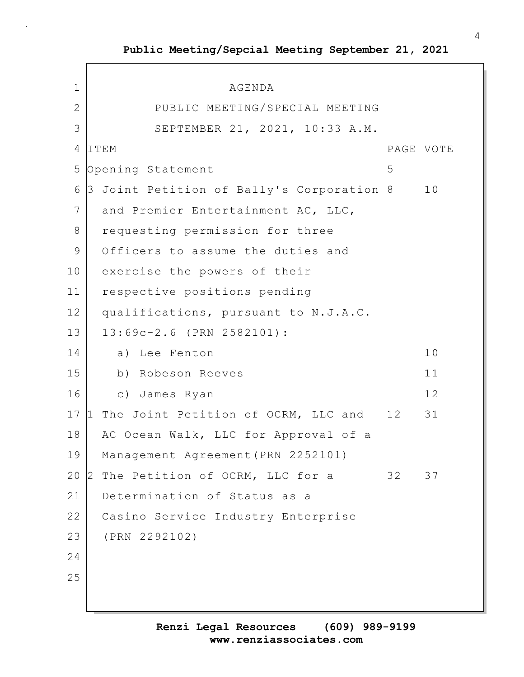$\Gamma$ 

| $\mathbf 1$  | AGENDA                                       |           |    |
|--------------|----------------------------------------------|-----------|----|
| $\mathbf{2}$ | PUBLIC MEETING/SPECIAL MEETING               |           |    |
| 3            | SEPTEMBER 21, 2021, 10:33 A.M.               |           |    |
| 4            | ITEM                                         | PAGE VOTE |    |
| 5            |                                              | 5         |    |
| 6            | Opening Statement                            |           | 10 |
| 7            | 3 Joint Petition of Bally's Corporation 8    |           |    |
|              | and Premier Entertainment AC, LLC,           |           |    |
| 8            | requesting permission for three              |           |    |
| 9            | Officers to assume the duties and            |           |    |
| 10           | exercise the powers of their                 |           |    |
| 11           | respective positions pending                 |           |    |
| 12           | qualifications, pursuant to N.J.A.C.         |           |    |
| 13           | 13:69c-2.6 (PRN 2582101):                    |           |    |
| 14           | a) Lee Fenton                                |           | 10 |
| 15           | b) Robeson Reeves                            |           | 11 |
| 16           | c) James Ryan                                |           | 12 |
| 17           | The Joint Petition of OCRM, LLC and 12<br>11 |           | 31 |
| 18           | AC Ocean Walk, LLC for Approval of a         |           |    |
| 19           | Management Agreement (PRN 2252101)           |           |    |
| 20           | The Petition of OCRM, LLC for a<br>2         | 32        | 37 |
| 21           | Determination of Status as a                 |           |    |
| 22           | Casino Service Industry Enterprise           |           |    |
| 23           | (PRN 2292102)                                |           |    |
| 24           |                                              |           |    |
| 25           |                                              |           |    |
|              |                                              |           |    |
|              |                                              |           |    |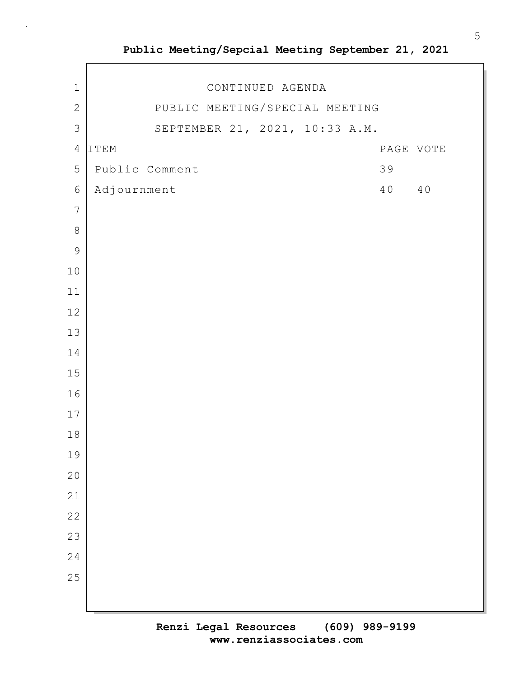| $\mathbf{2}$   |             | PUBLIC MEETING/SPECIAL MEETING |  |  |    |           |
|----------------|-------------|--------------------------------|--|--|----|-----------|
| 3              |             | SEPTEMBER 21, 2021, 10:33 A.M. |  |  |    |           |
| $\overline{4}$ | ITEM        |                                |  |  |    | PAGE VOTE |
| 5              |             | Public Comment                 |  |  | 39 |           |
| $\epsilon$     | Adjournment |                                |  |  | 40 | 40        |
| $\overline{7}$ |             |                                |  |  |    |           |
| $\,8\,$        |             |                                |  |  |    |           |
| $\mathsf 9$    |             |                                |  |  |    |           |
| $10$           |             |                                |  |  |    |           |
| $11\,$         |             |                                |  |  |    |           |
| 12             |             |                                |  |  |    |           |
| 13             |             |                                |  |  |    |           |
| 14             |             |                                |  |  |    |           |
| $15\,$         |             |                                |  |  |    |           |
| 16             |             |                                |  |  |    |           |
| $17$           |             |                                |  |  |    |           |
| $1\,8$         |             |                                |  |  |    |           |
| 19             |             |                                |  |  |    |           |
| $20$           |             |                                |  |  |    |           |
| 21             |             |                                |  |  |    |           |
| 22             |             |                                |  |  |    |           |
| 23             |             |                                |  |  |    |           |

1 CONTINUED AGENDA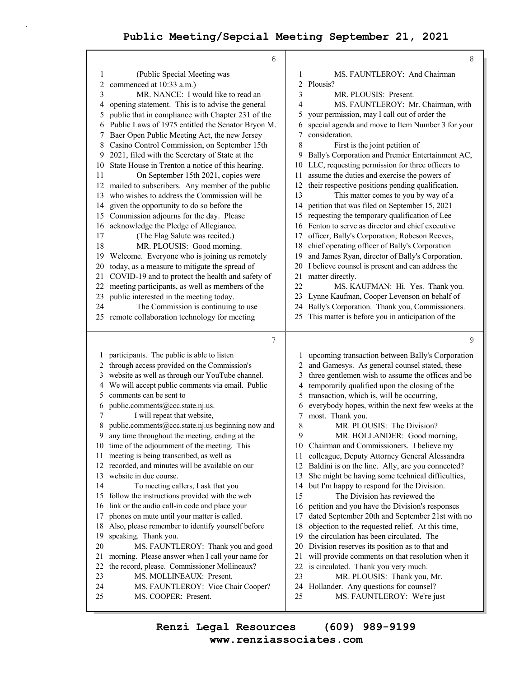|                | 6                                                                                         |          | $\,8\,$                                                                                            |
|----------------|-------------------------------------------------------------------------------------------|----------|----------------------------------------------------------------------------------------------------|
| 1              | (Public Special Meeting was                                                               | 1        | MS. FAUNTLEROY: And Chairman                                                                       |
| 2              | commenced at 10:33 a.m.)                                                                  | 2        | Plousis?                                                                                           |
| 3              | MR. NANCE: I would like to read an                                                        | 3        | MR. PLOUSIS: Present.                                                                              |
| 4              | opening statement. This is to advise the general                                          | 4        | MS. FAUNTLEROY: Mr. Chairman, with                                                                 |
| 5              | public that in compliance with Chapter 231 of the                                         | 5        | your permission, may I call out of order the                                                       |
| 6              | Public Laws of 1975 entitled the Senator Bryon M.                                         | 6        | special agenda and move to Item Number 3 for your                                                  |
| 7              | Baer Open Public Meeting Act, the new Jersey                                              | 7        | consideration.                                                                                     |
| 8              | Casino Control Commission, on September 15th                                              | 8        | First is the joint petition of                                                                     |
| 9              | 2021, filed with the Secretary of State at the                                            | 9        | Bally's Corporation and Premier Entertainment AC,                                                  |
| 10             | State House in Trenton a notice of this hearing.                                          | 10       | LLC, requesting permission for three officers to                                                   |
| 11             | On September 15th 2021, copies were                                                       | 11       | assume the duties and exercise the powers of                                                       |
| 12             | mailed to subscribers. Any member of the public                                           | 12       | their respective positions pending qualification.                                                  |
| 13             | who wishes to address the Commission will be                                              | 13       | This matter comes to you by way of a                                                               |
| 14             | given the opportunity to do so before the                                                 | 14       | petition that was filed on September 15, 2021                                                      |
| 15             | Commission adjourns for the day. Please                                                   | 15       | requesting the temporary qualification of Lee                                                      |
| 16             | acknowledge the Pledge of Allegiance.                                                     | 16       | Fenton to serve as director and chief executive                                                    |
| 17             | (The Flag Salute was recited.)                                                            | 17       | officer, Bally's Corporation; Robeson Reeves,                                                      |
| 18             | MR. PLOUSIS: Good morning.                                                                | 18       | chief operating officer of Bally's Corporation                                                     |
| 19             | Welcome. Everyone who is joining us remotely                                              | 19       | and James Ryan, director of Bally's Corporation.                                                   |
| 20             | today, as a measure to mitigate the spread of                                             | 20       | I believe counsel is present and can address the                                                   |
| 21             | COVID-19 and to protect the health and safety of                                          | 21       | matter directly.                                                                                   |
| 22             | meeting participants, as well as members of the                                           | 22       | MS. KAUFMAN: Hi. Yes. Thank you.                                                                   |
| 23             | public interested in the meeting today.                                                   | 23       | Lynne Kaufman, Cooper Levenson on behalf of                                                        |
| 24             | The Commission is continuing to use                                                       | 24       | Bally's Corporation. Thank you, Commissioners.                                                     |
|                | 25 remote collaboration technology for meeting                                            | 25       | This matter is before you in anticipation of the                                                   |
|                |                                                                                           |          |                                                                                                    |
|                |                                                                                           |          |                                                                                                    |
|                | 7                                                                                         |          | $\mathsf 9$                                                                                        |
| 1              |                                                                                           | 1        |                                                                                                    |
| $\overline{2}$ | participants. The public is able to listen<br>through access provided on the Commission's | 2        | upcoming transaction between Bally's Corporation                                                   |
| 3              | website as well as through our YouTube channel.                                           | 3        | and Gamesys. As general counsel stated, these<br>three gentlemen wish to assume the offices and be |
| 4              | We will accept public comments via email. Public                                          | 4        | temporarily qualified upon the closing of the                                                      |
| 5              | comments can be sent to                                                                   | 5        | transaction, which is, will be occurring,                                                          |
| 6              | public.comments@ccc.state.nj.us.                                                          | 6        | everybody hopes, within the next few weeks at the                                                  |
| 7              | I will repeat that website,                                                               | 7        | most. Thank you.                                                                                   |
| 8              | public.comments@ccc.state.nj.us beginning now and                                         | 8        | MR. PLOUSIS: The Division?                                                                         |
| 9              | any time throughout the meeting, ending at the                                            | 9        | MR. HOLLANDER: Good morning,                                                                       |
|                | 10 time of the adjournment of the meeting. This                                           | 10       | Chairman and Commissioners. I believe my                                                           |
| 11             | meeting is being transcribed, as well as                                                  | 11       | colleague, Deputy Attorney General Alessandra                                                      |
| 12             | recorded, and minutes will be available on our                                            | 12       | Baldini is on the line. Ally, are you connected?                                                   |
| 13             | website in due course.                                                                    | 13       | She might be having some technical difficulties,                                                   |
| 14             | To meeting callers, I ask that you                                                        | 14       | but I'm happy to respond for the Division.                                                         |
| 15             | follow the instructions provided with the web                                             | 15       | The Division has reviewed the                                                                      |
| 16             | link or the audio call-in code and place your                                             | 16       | petition and you have the Division's responses                                                     |
| 17             | phones on mute until your matter is called.                                               | 17       | dated September 20th and September 21st with no                                                    |
| 18             | Also, please remember to identify yourself before                                         | 18       | objection to the requested relief. At this time,                                                   |
| 19             | speaking. Thank you.                                                                      | 19       | the circulation has been circulated. The                                                           |
| 20             | MS. FAUNTLEROY: Thank you and good                                                        | 20       | Division reserves its position as to that and                                                      |
| 21             | morning. Please answer when I call your name for                                          | 21       | will provide comments on that resolution when it                                                   |
| 22             | the record, please. Commissioner Mollineaux?                                              | 22       | is circulated. Thank you very much.                                                                |
| 23             | MS. MOLLINEAUX: Present.                                                                  | 23       | MR. PLOUSIS: Thank you, Mr.                                                                        |
| 24<br>25       | MS. FAUNTLEROY: Vice Chair Cooper?<br>MS. COOPER: Present.                                | 24<br>25 | Hollander. Any questions for counsel?<br>MS. FAUNTLEROY: We're just                                |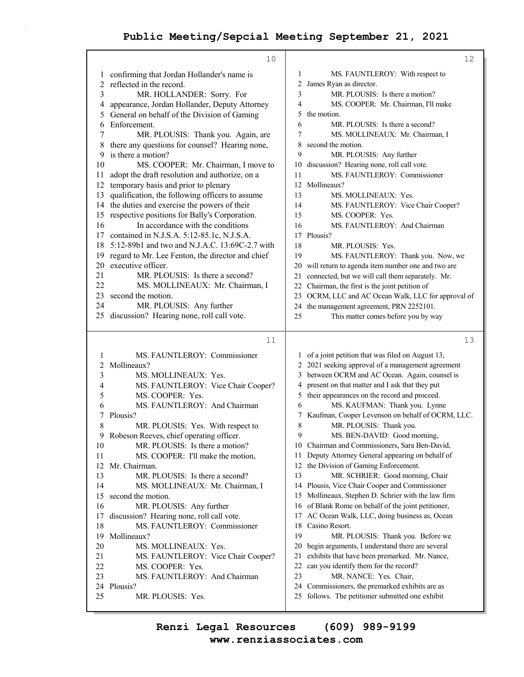|    | 10                                               |    | 12                                                   |
|----|--------------------------------------------------|----|------------------------------------------------------|
| 1  | confirming that Jordan Hollander's name is       | 1  | MS. FAUNTLEROY: With respect to                      |
| 2  | reflected in the record.                         | 2  | James Ryan as director.                              |
| 3  | MR. HOLLANDER: Sorry. For                        | 3  | MR. PLOUSIS: Is there a motion?                      |
| 4  | appearance, Jordan Hollander, Deputy Attorney    | 4  | MS. COOPER: Mr. Chairman, I'll make                  |
| 5  | General on behalf of the Division of Gaming      | 5  | the motion.                                          |
| 6  | Enforcement.                                     | 6  | MR. PLOUSIS: Is there a second?                      |
| 7  | MR. PLOUSIS: Thank you. Again, are               | 7  | MS. MOLLINEAUX: Mr. Chairman, I                      |
| 8  | there any questions for counsel? Hearing none,   | 8  | second the motion.                                   |
| 9  | is there a motion?                               | 9  | MR. PLOUSIS: Any further                             |
| 10 | MS. COOPER: Mr. Chairman, I move to              | 10 | discussion? Hearing none, roll call vote.            |
|    |                                                  | 11 | MS. FAUNTLEROY: Commissioner                         |
| 11 | adopt the draft resolution and authorize, on a   | 12 | Mollineaux?                                          |
| 12 | temporary basis and prior to plenary             |    |                                                      |
| 13 | qualification, the following officers to assume  | 13 | MS. MOLLINEAUX: Yes.                                 |
| 14 | the duties and exercise the powers of their      | 14 | MS. FAUNTLEROY: Vice Chair Cooper?                   |
| 15 | respective positions for Bally's Corporation.    | 15 | MS. COOPER: Yes.                                     |
| 16 | In accordance with the conditions                | 16 | MS. FAUNTLEROY: And Chairman                         |
| 17 | contained in N.J.S.A. 5:12-85.1c, N.J.S.A.       |    | 17 Plousis?                                          |
| 18 | 5:12-89b1 and two and N.J.A.C. 13:69C-2.7 with   | 18 | MR. PLOUSIS: Yes.                                    |
| 19 | regard to Mr. Lee Fenton, the director and chief | 19 | MS. FAUNTLEROY: Thank you. Now, we                   |
| 20 | executive officer.                               |    | 20 will return to agenda item number one and two are |
| 21 | MR. PLOUSIS: Is there a second?                  | 21 | connected, but we will call them separately. Mr.     |
| 22 | MS. MOLLINEAUX: Mr. Chairman, I                  |    | 22 Chairman, the first is the joint petition of      |
| 23 | second the motion.                               |    | 23 OCRM, LLC and AC Ocean Walk, LLC for approval of  |
| 24 | MR. PLOUSIS: Any further                         |    | 24 the management agreement, PRN 2252101.            |
|    | 25 discussion? Hearing none, roll call vote.     | 25 | This matter comes before you by way                  |
|    |                                                  |    |                                                      |
|    |                                                  |    |                                                      |
|    | 11                                               |    | 13                                                   |
|    |                                                  |    |                                                      |
| 1  | MS. FAUNTLEROY: Commissioner                     |    | 1 of a joint petition that was filed on August 13,   |
| 2  | Mollineaux?                                      |    | 2 2021 seeking approval of a management agreement    |
| 3  | MS. MOLLINEAUX: Yes.                             | 3  | between OCRM and AC Ocean. Again, counsel is         |
| 4  | MS. FAUNTLEROY: Vice Chair Cooper?               | 4  | present on that matter and I ask that they put       |
| 5  | MS. COOPER: Yes.                                 | 5  | their appearances on the record and proceed.         |
| 6  | MS. FAUNTLEROY: And Chairman                     | 6  | MS. KAUFMAN: Thank you. Lynne                        |
| 7  | Plousis?                                         |    | Kaufman, Cooper Levenson on behalf of OCRM, LLC.     |
| 8  | MR. PLOUSIS: Yes. With respect to                | 8  | MR. PLOUSIS: Thank you.                              |
| 9  | Robeson Reeves, chief operating officer.         | 9  | MS. BEN-DAVID: Good morning,                         |
| 10 | MR. PLOUSIS: Is there a motion?                  |    | 10 Chairman and Commissioners, Sara Ben-David,       |
| 11 | MS. COOPER: I'll make the motion,                | 11 | Deputy Attorney General appearing on behalf of       |
| 12 | Mr. Chairman.                                    | 12 | the Division of Gaming Enforcement.                  |
| 13 | MR. PLOUSIS: Is there a second?                  | 13 | MR. SCHRIER: Good morning, Chair                     |
| 14 | MS. MOLLINEAUX: Mr. Chairman, I                  |    | 14 Plousis, Vice Chair Cooper and Commissioner       |
| 15 | second the motion.                               | 15 | Mollineaux, Stephen D. Schrier with the law firm     |
| 16 | MR. PLOUSIS: Any further                         |    | 16 of Blank Rome on behalf of the joint petitioner,  |
| 17 | discussion? Hearing none, roll call vote.        | 17 | AC Ocean Walk, LLC, doing business as, Ocean         |
| 18 | MS. FAUNTLEROY: Commissioner                     | 18 | Casino Resort.                                       |
| 19 | Mollineaux?                                      | 19 | MR. PLOUSIS: Thank you. Before we                    |
| 20 | MS. MOLLINEAUX: Yes.                             | 20 | begin arguments, I understand there are several      |
| 21 | MS. FAUNTLEROY: Vice Chair Cooper?               | 21 | exhibits that have been premarked. Mr. Nance,        |
| 22 | MS. COOPER: Yes.                                 | 22 | can you identify them for the record?                |
| 23 | MS. FAUNTLEROY: And Chairman                     | 23 | MR. NANCE: Yes. Chair,                               |
| 24 | Plousis?                                         | 24 | Commissioners, the premarked exhibits are as         |
| 25 | MR. PLOUSIS: Yes.                                | 25 | follows. The petitioner submitted one exhibit        |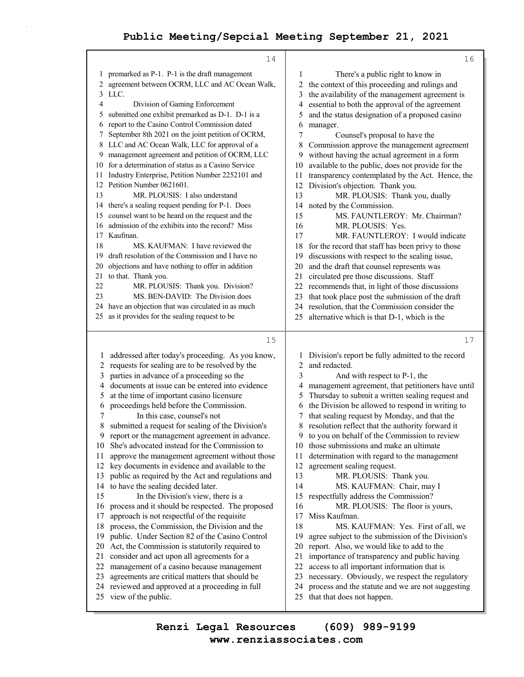|              | 14                                                                                                 |                | 16                                                                                               |
|--------------|----------------------------------------------------------------------------------------------------|----------------|--------------------------------------------------------------------------------------------------|
| 1            | premarked as P-1. P-1 is the draft management                                                      | 1              | There's a public right to know in                                                                |
| 2            | agreement between OCRM, LLC and AC Ocean Walk,                                                     | 2              | the context of this proceeding and rulings and                                                   |
| 3            | LLC.                                                                                               | 3              | the availability of the management agreement is                                                  |
| 4            | Division of Gaming Enforcement                                                                     | 4              | essential to both the approval of the agreement                                                  |
| 5            | submitted one exhibit premarked as D-1. D-1 is a                                                   | 5              | and the status designation of a proposed casino                                                  |
| 6            | report to the Casino Control Commission dated                                                      | 6              | manager.                                                                                         |
| 7            | September 8th 2021 on the joint petition of OCRM,                                                  | 7              | Counsel's proposal to have the                                                                   |
| 8            | LLC and AC Ocean Walk, LLC for approval of a                                                       | 8              | Commission approve the management agreement                                                      |
| 9            | management agreement and petition of OCRM, LLC                                                     | 9              | without having the actual agreement in a form                                                    |
| 10           | for a determination of status as a Casino Service                                                  | 10             | available to the public, does not provide for the                                                |
| 11           | Industry Enterprise, Petition Number 2252101 and                                                   | 11             | transparency contemplated by the Act. Hence, the                                                 |
|              | 12 Petition Number 0621601.                                                                        | 12             | Division's objection. Thank you.                                                                 |
| 13           | MR. PLOUSIS: I also understand                                                                     | 13             | MR. PLOUSIS: Thank you, dually                                                                   |
|              | 14 there's a sealing request pending for P-1. Does                                                 | 14             | noted by the Commission.                                                                         |
| 15           | counsel want to be heard on the request and the                                                    | 15             | MS. FAUNTLEROY: Mr. Chairman?                                                                    |
| 16           | admission of the exhibits into the record? Miss                                                    | 16             | MR. PLOUSIS: Yes.                                                                                |
|              | 17 Kaufman.                                                                                        | 17             | MR. FAUNTLEROY: I would indicate                                                                 |
| 18           | MS. KAUFMAN: I have reviewed the                                                                   | 18             | for the record that staff has been privy to those                                                |
| 19           | draft resolution of the Commission and I have no                                                   | 19             | discussions with respect to the sealing issue,                                                   |
| 20           | objections and have nothing to offer in addition                                                   | 20             | and the draft that counsel represents was                                                        |
| 21<br>22     | to that. Thank you.                                                                                | 21             | circulated pre those discussions. Staff                                                          |
| 23           | MR. PLOUSIS: Thank you. Division?<br>MS. BEN-DAVID: The Division does                              | 22             | recommends that, in light of those discussions                                                   |
|              | 24 have an objection that was circulated in as much                                                | 23<br>24       | that took place post the submission of the draft<br>resolution, that the Commission consider the |
| 25           | as it provides for the sealing request to be                                                       | 25             | alternative which is that D-1, which is the                                                      |
|              |                                                                                                    |                |                                                                                                  |
|              | 15                                                                                                 |                | 17                                                                                               |
| 1            |                                                                                                    | 1              | Division's report be fully admitted to the record                                                |
| $\mathbf{2}$ | addressed after today's proceeding. As you know,<br>requests for sealing are to be resolved by the | $\overline{c}$ | and redacted.                                                                                    |
| 3            | parties in advance of a proceeding so the                                                          | 3              | And with respect to P-1, the                                                                     |
| 4            | documents at issue can be entered into evidence                                                    | 4              | management agreement, that petitioners have until                                                |
| 5            | at the time of important casino licensure                                                          | 5              | Thursday to submit a written sealing request and                                                 |
| 6            | proceedings held before the Commission.                                                            | 6              | the Division be allowed to respond in writing to                                                 |
| 7            | In this case, counsel's not                                                                        | 7              | that sealing request by Monday, and that the                                                     |
| 8            | submitted a request for sealing of the Division's                                                  | 8              | resolution reflect that the authority forward it                                                 |
| 9            | report or the management agreement in advance.                                                     |                | 9 to you on behalf of the Commission to review                                                   |
| 10           | She's advocated instead for the Commission to                                                      |                | 10 those submissions and make an ultimate                                                        |
| 11           | approve the management agreement without those                                                     | 11             | determination with regard to the management                                                      |
| 12           | key documents in evidence and available to the                                                     | 12             | agreement sealing request.                                                                       |
| 13           | public as required by the Act and regulations and                                                  | 13             | MR. PLOUSIS: Thank you.                                                                          |
| 14           | to have the sealing decided later.                                                                 | 14             | MS. KAUFMAN: Chair, may I                                                                        |
| 15           | In the Division's view, there is a                                                                 | 15             | respectfully address the Commission?                                                             |
| 16           | process and it should be respected. The proposed                                                   | 16             | MR. PLOUSIS: The floor is yours,                                                                 |
| 17           | approach is not respectful of the requisite                                                        | 17             | Miss Kaufman.                                                                                    |
| 18           | process, the Commission, the Division and the                                                      | 18             | MS. KAUFMAN: Yes. First of all, we                                                               |
| 19           | public. Under Section 82 of the Casino Control                                                     | 19             | agree subject to the submission of the Division's                                                |
| 20           |                                                                                                    | 20             | report. Also, we would like to add to the                                                        |
|              | Act, the Commission is statutorily required to                                                     |                |                                                                                                  |
| 21           | consider and act upon all agreements for a                                                         | 21             | importance of transparency and public having                                                     |
| 22           | management of a casino because management                                                          | 22             | access to all important information that is                                                      |
| 23           | agreements are critical matters that should be                                                     | 23             | necessary. Obviously, we respect the regulatory                                                  |
| 24           | reviewed and approved at a proceeding in full                                                      | 24             | process and the statute and we are not suggesting                                                |
|              | 25 view of the public.                                                                             |                | 25 that that does not happen.                                                                    |

**www.renziassociates.com Renzi Legal Resources (609) 989-9199**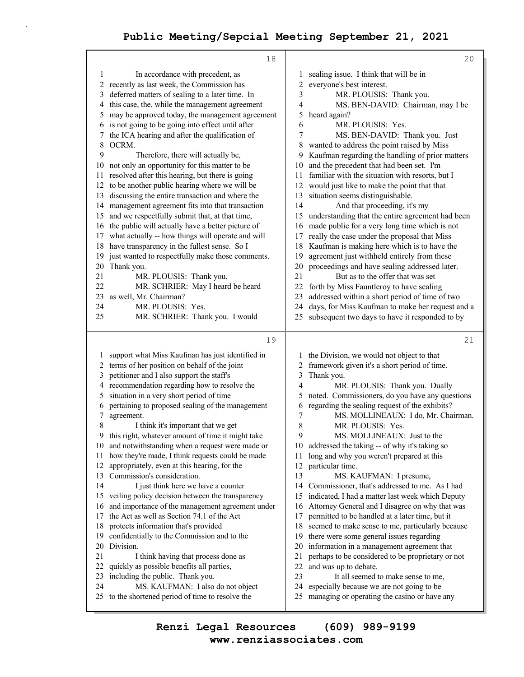|              | 18                                                                                     |          | 20                                                                                        |
|--------------|----------------------------------------------------------------------------------------|----------|-------------------------------------------------------------------------------------------|
| 1            | In accordance with precedent, as                                                       | 1        | sealing issue. I think that will be in                                                    |
| 2            | recently as last week, the Commission has                                              | 2        | everyone's best interest.                                                                 |
| 3            | deferred matters of sealing to a later time. In                                        | 3        | MR. PLOUSIS: Thank you.                                                                   |
| 4            | this case, the, while the management agreement                                         | 4        | MS. BEN-DAVID: Chairman, may I be                                                         |
| 5            | may be approved today, the management agreement                                        | 5        | heard again?                                                                              |
| 6            | is not going to be going into effect until after                                       | 6        | MR. PLOUSIS: Yes.                                                                         |
| 7            | the ICA hearing and after the qualification of                                         | 7        | MS. BEN-DAVID: Thank you. Just                                                            |
| 8            | OCRM.                                                                                  | 8        | wanted to address the point raised by Miss                                                |
| 9            | Therefore, there will actually be,                                                     | 9        | Kaufman regarding the handling of prior matters                                           |
| 10           | not only an opportunity for this matter to be                                          | 10       | and the precedent that had been set. I'm                                                  |
| 11           | resolved after this hearing, but there is going                                        | 11       | familiar with the situation with resorts, but I                                           |
| 12           | to be another public hearing where we will be                                          | 12       | would just like to make the point that that                                               |
| 13           | discussing the entire transaction and where the                                        | 13       | situation seems distinguishable.                                                          |
| 14           | management agreement fits into that transaction                                        | 14       | And that proceeding, it's my                                                              |
| 15           | and we respectfully submit that, at that time,                                         | 15       | understanding that the entire agreement had been                                          |
| 16           | the public will actually have a better picture of                                      | 16       | made public for a very long time which is not                                             |
| 17           | what actually -- how things will operate and will                                      | 17       | really the case under the proposal that Miss                                              |
| 18           | have transparency in the fullest sense. So I                                           | 18       | Kaufman is making here which is to have the                                               |
| 19           | just wanted to respectfully make those comments.                                       | 19       | agreement just withheld entirely from these                                               |
| 20           | Thank you.                                                                             | 20       | proceedings and have sealing addressed later.                                             |
| 21           | MR. PLOUSIS: Thank you.                                                                | 21       | But as to the offer that was set                                                          |
| 22           | MR. SCHRIER: May I heard be heard                                                      | 22       | forth by Miss Fauntleroy to have sealing                                                  |
| 23           | as well, Mr. Chairman?                                                                 | 23       | addressed within a short period of time of two                                            |
| 24           | MR. PLOUSIS: Yes.                                                                      | 24       | days, for Miss Kaufman to make her request and a                                          |
| 25           | MR. SCHRIER: Thank you. I would                                                        | 25       | subsequent two days to have it responded to by                                            |
|              |                                                                                        |          |                                                                                           |
|              |                                                                                        |          |                                                                                           |
|              |                                                                                        |          | 21                                                                                        |
|              | 19                                                                                     |          |                                                                                           |
| $\mathbf{I}$ | support what Miss Kaufman has just identified in                                       | 1        | the Division, we would not object to that                                                 |
| 2            | terms of her position on behalf of the joint                                           | 2        | framework given it's a short period of time.                                              |
| 3            | petitioner and I also support the staff's                                              | 3        | Thank you.                                                                                |
| 4            | recommendation regarding how to resolve the                                            | 4        | MR. PLOUSIS: Thank you. Dually                                                            |
| 5            | situation in a very short period of time                                               | 5        | noted. Commissioners, do you have any questions                                           |
| 6            | pertaining to proposed sealing of the management                                       | 6        | regarding the sealing request of the exhibits?                                            |
| 7            | agreement.                                                                             | 7        | MS. MOLLINEAUX: I do, Mr. Chairman.                                                       |
| 8            | I think it's important that we get                                                     | 8        | MR. PLOUSIS: Yes.                                                                         |
| 9            | this right, whatever amount of time it might take                                      | 9        | MS. MOLLINEAUX: Just to the                                                               |
|              | 10 and notwithstanding when a request were made or                                     | 10       | addressed the taking -- of why it's taking so                                             |
| 11           | how they're made, I think requests could be made                                       | 11       | long and why you weren't prepared at this                                                 |
| 12           | appropriately, even at this hearing, for the                                           | 12       | particular time.                                                                          |
| 13           | Commission's consideration.                                                            | 13       | MS. KAUFMAN: I presume,                                                                   |
| 14           | I just think here we have a counter                                                    | 14       | Commissioner, that's addressed to me. As I had                                            |
| 15           | veiling policy decision between the transparency                                       | 15       | indicated, I had a matter last week which Deputy                                          |
| 16           | and importance of the management agreement under                                       | 16       | Attorney General and I disagree on why that was                                           |
| 17           | the Act as well as Section 74.1 of the Act                                             | 17       | permitted to be handled at a later time, but it                                           |
| 18           | protects information that's provided                                                   | 18       | seemed to make sense to me, particularly because                                          |
| 19           | confidentially to the Commission and to the                                            | 19       | there were some general issues regarding                                                  |
| 20           | Division.                                                                              | 20       | information in a management agreement that                                                |
| 21           | I think having that process done as                                                    | 21       | perhaps to be considered to be proprietary or not                                         |
| 22           | quickly as possible benefits all parties,                                              | 22       | and was up to debate.                                                                     |
| 23           | including the public. Thank you.                                                       | 23       | It all seemed to make sense to me,                                                        |
| 24           | MS. KAUFMAN: I also do not object<br>25 to the shortened period of time to resolve the | 24<br>25 | especially because we are not going to be<br>managing or operating the casino or have any |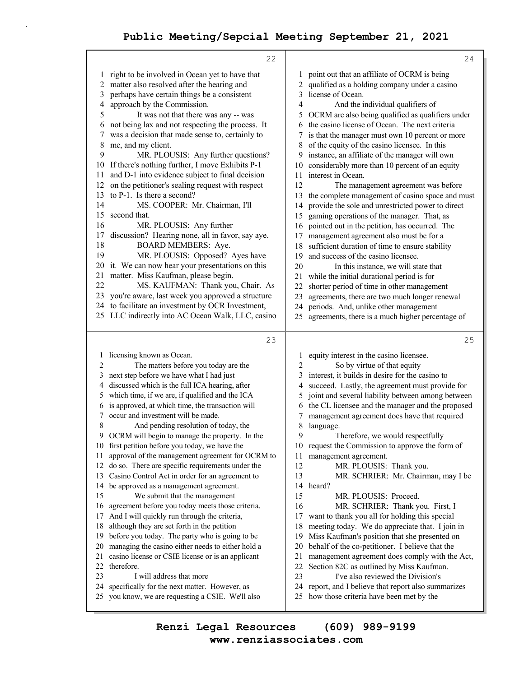|    | 22                                                                                                  |        | 24                                                                                               |
|----|-----------------------------------------------------------------------------------------------------|--------|--------------------------------------------------------------------------------------------------|
| 1  | right to be involved in Ocean yet to have that                                                      | 1      | point out that an affiliate of OCRM is being                                                     |
| 2  | matter also resolved after the hearing and                                                          | 2      | qualified as a holding company under a casino                                                    |
| 3  | perhaps have certain things be a consistent                                                         | 3      | license of Ocean.                                                                                |
| 4  | approach by the Commission.                                                                         | 4      | And the individual qualifiers of                                                                 |
| 5  | It was not that there was any -- was                                                                | 5      | OCRM are also being qualified as qualifiers under                                                |
| 6  | not being lax and not respecting the process. It                                                    | 6      | the casino license of Ocean. The next criteria                                                   |
| 7  | was a decision that made sense to, certainly to                                                     | 7      | is that the manager must own 10 percent or more                                                  |
| 8  | me, and my client.                                                                                  | 8      | of the equity of the casino licensee. In this                                                    |
| 9  | MR. PLOUSIS: Any further questions?                                                                 | 9      | instance, an affiliate of the manager will own                                                   |
| 10 | If there's nothing further, I move Exhibits P-1                                                     | 10     | considerably more than 10 percent of an equity                                                   |
| 11 | and D-1 into evidence subject to final decision                                                     | 11     | interest in Ocean.                                                                               |
| 12 | on the petitioner's sealing request with respect                                                    | 12     | The management agreement was before                                                              |
| 13 | to P-1. Is there a second?                                                                          | 13     | the complete management of casino space and must                                                 |
| 14 | MS. COOPER: Mr. Chairman, I'll                                                                      | 14     | provide the sole and unrestricted power to direct                                                |
| 15 | second that.                                                                                        | 15     | gaming operations of the manager. That, as                                                       |
| 16 | MR. PLOUSIS: Any further                                                                            | 16     | pointed out in the petition, has occurred. The                                                   |
| 17 | discussion? Hearing none, all in favor, say aye.                                                    | 17     | management agreement also must be for a                                                          |
| 18 | <b>BOARD MEMBERS: Aye.</b>                                                                          | 18     | sufficient duration of time to ensure stability                                                  |
| 19 | MR. PLOUSIS: Opposed? Ayes have                                                                     | 19     | and success of the casino licensee.                                                              |
| 20 | it. We can now hear your presentations on this                                                      | 20     | In this instance, we will state that                                                             |
| 21 | matter. Miss Kaufman, please begin.                                                                 | 21     | while the initial durational period is for                                                       |
| 22 | MS. KAUFMAN: Thank you, Chair. As                                                                   | 22     | shorter period of time in other management                                                       |
|    | 23 you're aware, last week you approved a structure                                                 | 23     | agreements, there are two much longer renewal                                                    |
|    | 24 to facilitate an investment by OCR Investment,                                                   | 24     | periods. And, unlike other management                                                            |
|    | 25 LLC indirectly into AC Ocean Walk, LLC, casino                                                   | 25     | agreements, there is a much higher percentage of                                                 |
|    |                                                                                                     |        |                                                                                                  |
|    | 23                                                                                                  |        | 25                                                                                               |
| 1  |                                                                                                     |        |                                                                                                  |
|    |                                                                                                     |        |                                                                                                  |
| 2  | licensing known as Ocean.                                                                           | 1<br>2 | equity interest in the casino licensee.                                                          |
| 3  | The matters before you today are the                                                                |        | So by virtue of that equity                                                                      |
| 4  | next step before we have what I had just                                                            | 3<br>4 | interest, it builds in desire for the casino to                                                  |
| 5  | discussed which is the full ICA hearing, after                                                      | 5      | succeed. Lastly, the agreement must provide for                                                  |
| 6  | which time, if we are, if qualified and the ICA<br>is approved, at which time, the transaction will | 6      | joint and several liability between among between                                                |
| 7  | occur and investment will be made.                                                                  | 7      | the CL licensee and the manager and the proposed<br>management agreement does have that required |
| 8  | And pending resolution of today, the                                                                | 8      | language.                                                                                        |
| 9  | OCRM will begin to manage the property. In the                                                      | 9      | Therefore, we would respectfully                                                                 |
|    | 10 first petition before you today, we have the                                                     | 10     | request the Commission to approve the form of                                                    |
| 11 | approval of the management agreement for OCRM to                                                    | 11     | management agreement.                                                                            |
| 12 | do so. There are specific requirements under the                                                    | 12     | MR. PLOUSIS: Thank you.                                                                          |
| 13 | Casino Control Act in order for an agreement to                                                     | 13     | MR. SCHRIER: Mr. Chairman, may I be                                                              |
| 14 | be approved as a management agreement.                                                              | 14     | heard?                                                                                           |
| 15 | We submit that the management                                                                       | 15     | MR. PLOUSIS: Proceed.                                                                            |
| 16 | agreement before you today meets those criteria.                                                    | 16     | MR. SCHRIER: Thank you. First, I                                                                 |
| 17 | And I will quickly run through the criteria,                                                        | 17     | want to thank you all for holding this special                                                   |
| 18 | although they are set forth in the petition                                                         | 18     | meeting today. We do appreciate that. I join in                                                  |
| 19 | before you today. The party who is going to be                                                      | 19     | Miss Kaufman's position that she presented on                                                    |
| 20 | managing the casino either needs to either hold a                                                   | 20     | behalf of the co-petitioner. I believe that the                                                  |
| 21 | casino license or CSIE license or is an applicant                                                   | 21     | management agreement does comply with the Act,                                                   |
| 22 | therefore.                                                                                          | 22     | Section 82C as outlined by Miss Kaufman.                                                         |
| 23 | I will address that more                                                                            | 23     | I've also reviewed the Division's                                                                |
| 24 | specifically for the next matter. However, as                                                       | 24     | report, and I believe that report also summarizes                                                |
| 25 | you know, we are requesting a CSIE. We'll also                                                      | 25     | how those criteria have been met by the                                                          |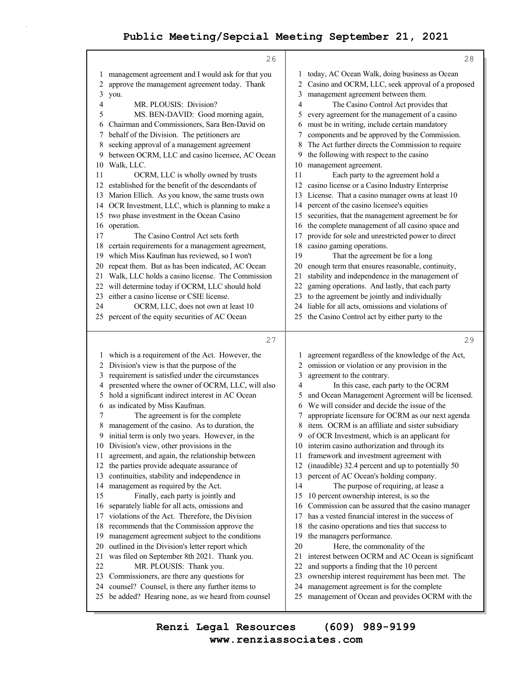|          | 26                                                                                                  | 28                                                                                                     |
|----------|-----------------------------------------------------------------------------------------------------|--------------------------------------------------------------------------------------------------------|
|          | management agreement and I would ask for that you                                                   | today, AC Ocean Walk, doing business as Ocean<br>1                                                     |
| 2        | approve the management agreement today. Thank                                                       | Casino and OCRM, LLC, seek approval of a proposed<br>2                                                 |
| 3        | you.                                                                                                | management agreement between them.<br>3                                                                |
| 4        | MR. PLOUSIS: Division?                                                                              | 4<br>The Casino Control Act provides that                                                              |
| 5        | MS. BEN-DAVID: Good morning again,                                                                  | every agreement for the management of a casino<br>5                                                    |
| 6        | Chairman and Commissioners, Sara Ben-David on                                                       | must be in writing, include certain mandatory<br>6                                                     |
| 7        | behalf of the Division. The petitioners are                                                         | components and be approved by the Commission.<br>7                                                     |
| 8        | seeking approval of a management agreement                                                          | The Act further directs the Commission to require<br>8                                                 |
| 9        | between OCRM, LLC and casino licensee, AC Ocean                                                     | the following with respect to the casino<br>9                                                          |
| 10       | Walk, LLC.                                                                                          | management agreement.<br>10                                                                            |
| 11       | OCRM, LLC is wholly owned by trusts                                                                 | 11<br>Each party to the agreement hold a                                                               |
| 12       | established for the benefit of the descendants of                                                   | casino license or a Casino Industry Enterprise<br>12                                                   |
| 13       | Marion Ellich. As you know, the same trusts own                                                     | License. That a casino manager owns at least 10<br>13                                                  |
| 14       | OCR Investment, LLC, which is planning to make a                                                    | percent of the casino licensee's equities<br>14                                                        |
| 15       | two phase investment in the Ocean Casino                                                            | securities, that the management agreement be for<br>15                                                 |
| 16       | operation.                                                                                          | the complete management of all casino space and<br>16                                                  |
| 17       | The Casino Control Act sets forth                                                                   | provide for sole and unrestricted power to direct<br>17                                                |
| 18       | certain requirements for a management agreement,<br>which Miss Kaufman has reviewed, so I won't     | casino gaming operations.<br>18<br>19                                                                  |
| 19<br>20 | repeat them. But as has been indicated, AC Ocean                                                    | That the agreement be for a long<br>enough term that ensures reasonable, continuity,<br>20             |
| 21       | Walk, LLC holds a casino license. The Commission                                                    | stability and independence in the management of<br>21                                                  |
| 22       | will determine today if OCRM, LLC should hold                                                       | gaming operations. And lastly, that each party<br>22                                                   |
| 23       | either a casino license or CSIE license.                                                            | to the agreement be jointly and individually<br>23                                                     |
| 24       | OCRM, LLC, does not own at least 10                                                                 | liable for all acts, omissions and violations of<br>24                                                 |
|          | 25 percent of the equity securities of AC Ocean                                                     | 25 the Casino Control act by either party to the                                                       |
|          |                                                                                                     |                                                                                                        |
|          | 27                                                                                                  | 29                                                                                                     |
|          | 1 which is a requirement of the Act. However, the                                                   | agreement regardless of the knowledge of the Act,<br>1                                                 |
| 2        | Division's view is that the purpose of the                                                          | omission or violation or any provision in the<br>2                                                     |
|          |                                                                                                     |                                                                                                        |
| 3        | requirement is satisfied under the circumstances                                                    | 3<br>agreement to the contrary.                                                                        |
| 4        | presented where the owner of OCRM, LLC, will also                                                   | In this case, each party to the OCRM<br>4                                                              |
| 5        | hold a significant indirect interest in AC Ocean                                                    | and Ocean Management Agreement will be licensed.<br>5                                                  |
| 6        | as indicated by Miss Kaufman.                                                                       | We will consider and decide the issue of the<br>6                                                      |
| 7        | The agreement is for the complete                                                                   | appropriate licensure for OCRM as our next agenda<br>7                                                 |
| 8        | management of the casino. As to duration, the                                                       | item. OCRM is an affiliate and sister subsidiary<br>8                                                  |
| 9        | initial term is only two years. However, in the                                                     | of OCR Investment, which is an applicant for<br>9.                                                     |
| 10       | Division's view, other provisions in the                                                            | interim casino authorization and through its<br>10                                                     |
| 11       | agreement, and again, the relationship between                                                      | framework and investment agreement with<br>11<br>12                                                    |
| 12<br>13 | the parties provide adequate assurance of                                                           | (inaudible) 32.4 percent and up to potentially 50<br>13                                                |
| 14       | continuities, stability and independence in                                                         | percent of AC Ocean's holding company.<br>14                                                           |
| 15       | management as required by the Act.<br>Finally, each party is jointly and                            | The purpose of requiring, at lease a<br>15<br>10 percent ownership interest, is so the                 |
| 16       | separately liable for all acts, omissions and                                                       | Commission can be assured that the casino manager<br>16                                                |
| 17       | violations of the Act. Therefore, the Division                                                      | has a vested financial interest in the success of<br>17                                                |
| 18       | recommends that the Commission approve the                                                          | the casino operations and ties that success to<br>18                                                   |
| 19       | management agreement subject to the conditions                                                      | the managers performance.<br>19                                                                        |
| 20       | outlined in the Division's letter report which                                                      | 20<br>Here, the commonality of the                                                                     |
| 21       | was filed on September 8th 2021. Thank you.                                                         | interest between OCRM and AC Ocean is significant<br>21                                                |
| 22       | MR. PLOUSIS: Thank you.                                                                             | 22<br>and supports a finding that the 10 percent                                                       |
| 23       | Commissioners, are there any questions for                                                          | 23<br>ownership interest requirement has been met. The                                                 |
| 24<br>25 | counsel? Counsel, is there any further items to<br>be added? Hearing none, as we heard from counsel | management agreement is for the complete<br>24<br>management of Ocean and provides OCRM with the<br>25 |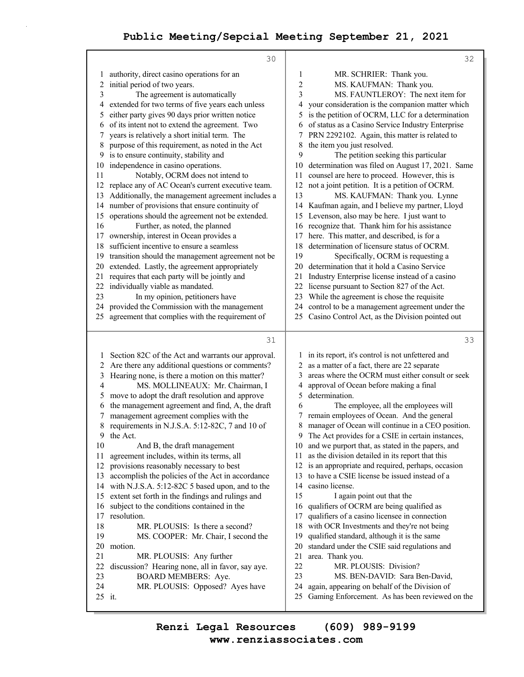|              | 30                                                                                 |                  | 32                                                                                               |
|--------------|------------------------------------------------------------------------------------|------------------|--------------------------------------------------------------------------------------------------|
| 1            | authority, direct casino operations for an                                         | 1                | MR. SCHRIER: Thank you.                                                                          |
| 2            | initial period of two years.                                                       | $\boldsymbol{2}$ | MS. KAUFMAN: Thank you.                                                                          |
| 3            | The agreement is automatically                                                     | 3                | MS. FAUNTLEROY: The next item for                                                                |
| 4            | extended for two terms of five years each unless                                   | 4                | your consideration is the companion matter which                                                 |
| 5            | either party gives 90 days prior written notice                                    | 5                | is the petition of OCRM, LLC for a determination                                                 |
| 6            | of its intent not to extend the agreement. Two                                     | 6                | of status as a Casino Service Industry Enterprise                                                |
| 7            | years is relatively a short initial term. The                                      | 7                | PRN 2292102. Again, this matter is related to                                                    |
| 8            | purpose of this requirement, as noted in the Act                                   | 8                | the item you just resolved.                                                                      |
| 9            | is to ensure continuity, stability and                                             | 9                | The petition seeking this particular                                                             |
| 10           | independence in casino operations.                                                 | 10               | determination was filed on August 17, 2021. Same                                                 |
| 11           | Notably, OCRM does not intend to                                                   | 11               | counsel are here to proceed. However, this is                                                    |
| 12           | replace any of AC Ocean's current executive team.                                  | 12               | not a joint petition. It is a petition of OCRM.                                                  |
| 13           | Additionally, the management agreement includes a                                  | 13               | MS. KAUFMAN: Thank you. Lynne                                                                    |
| 14           | number of provisions that ensure continuity of                                     | 14               | Kaufman again, and I believe my partner, Lloyd                                                   |
| 15           | operations should the agreement not be extended.                                   | 15               | Levenson, also may be here. I just want to                                                       |
| 16           | Further, as noted, the planned                                                     | 16               | recognize that. Thank him for his assistance                                                     |
| 17           | ownership, interest in Ocean provides a                                            | 17               | here. This matter, and described, is for a                                                       |
| 18           | sufficient incentive to ensure a seamless                                          | 18               | determination of licensure status of OCRM.                                                       |
| 19           | transition should the management agreement not be                                  | 19               | Specifically, OCRM is requesting a                                                               |
| 20           | extended. Lastly, the agreement appropriately                                      | 20               | determination that it hold a Casino Service                                                      |
| 21           | requires that each party will be jointly and                                       | 21               | Industry Enterprise license instead of a casino                                                  |
| 22           | individually viable as mandated.                                                   | 22               | license pursuant to Section 827 of the Act.                                                      |
| 23           | In my opinion, petitioners have                                                    | 23               | While the agreement is chose the requisite                                                       |
|              | 24 provided the Commission with the management                                     | 24               | control to be a management agreement under the                                                   |
| 25           | agreement that complies with the requirement of                                    | 25               | Casino Control Act, as the Division pointed out                                                  |
|              |                                                                                    |                  |                                                                                                  |
|              | 31                                                                                 |                  | 33                                                                                               |
|              |                                                                                    |                  |                                                                                                  |
| 1            | Section 82C of the Act and warrants our approval.                                  | 2                | 1 in its report, it's control is not unfettered and                                              |
| 2            | Are there any additional questions or comments?                                    | 3                | as a matter of a fact, there are 22 separate<br>areas where the OCRM must either consult or seek |
| 3<br>4       | Hearing none, is there a motion on this matter?<br>MS. MOLLINEAUX: Mr. Chairman, I | 4                |                                                                                                  |
| 5            | move to adopt the draft resolution and approve                                     | 5                | approval of Ocean before making a final<br>determination.                                        |
| 6            | the management agreement and find, A, the draft                                    | 6                | The employee, all the employees will                                                             |
| 7            | management agreement complies with the                                             | 7                | remain employees of Ocean. And the general                                                       |
| 8            | requirements in N.J.S.A. 5:12-82C, 7 and 10 of                                     | 8                | manager of Ocean will continue in a CEO position.                                                |
| 9            | the Act.                                                                           | 9                | The Act provides for a CSIE in certain instances,                                                |
| 10           | And B, the draft management                                                        | 10               | and we purport that, as stated in the papers, and                                                |
| 11           | agreement includes, within its terms, all                                          | 11               | as the division detailed in its report that this                                                 |
| 12           | provisions reasonably necessary to best                                            | 12               | is an appropriate and required, perhaps, occasion                                                |
| 13           | accomplish the policies of the Act in accordance                                   | 13               | to have a CSIE license be issued instead of a                                                    |
| 14           | with N.J.S.A. 5:12-82C 5 based upon, and to the                                    | 14               | casino license.                                                                                  |
| 15           | extent set forth in the findings and rulings and                                   | 15               | I again point out that the                                                                       |
| 16           | subject to the conditions contained in the                                         | 16               | qualifiers of OCRM are being qualified as                                                        |
| 17           | resolution.                                                                        | 17               | qualifiers of a casino licensee in connection                                                    |
| 18           | MR. PLOUSIS: Is there a second?                                                    | 18               | with OCR Investments and they're not being                                                       |
| 19           | MS. COOPER: Mr. Chair, I second the                                                | 19               | qualified standard, although it is the same                                                      |
| 20           | motion.                                                                            | 20               | standard under the CSIE said regulations and                                                     |
| 21           | MR. PLOUSIS: Any further                                                           | 21               | area. Thank you.                                                                                 |
| 22           | discussion? Hearing none, all in favor, say aye.                                   | 22               | MR. PLOUSIS: Division?                                                                           |
| 23           | <b>BOARD MEMBERS: Aye.</b>                                                         | 23               | MS. BEN-DAVID: Sara Ben-David,                                                                   |
| 24<br>25 it. | MR. PLOUSIS: Opposed? Ayes have                                                    | 24<br>25         | again, appearing on behalf of the Division of<br>Gaming Enforcement. As has been reviewed on the |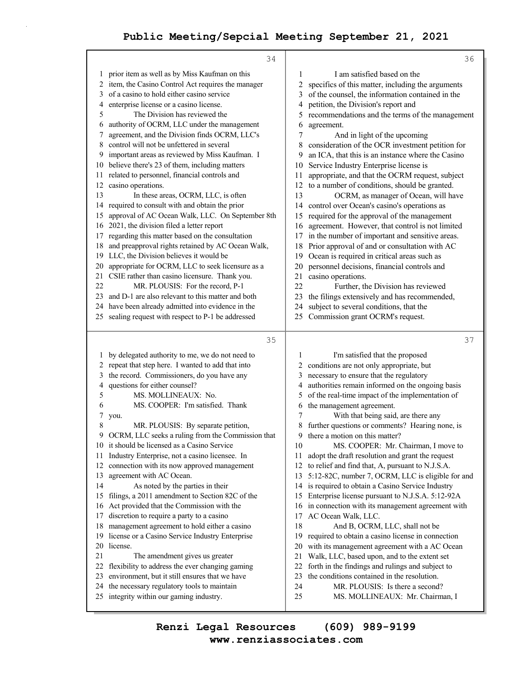|              | 34                                                                                                  |          | 36                                                                                     |
|--------------|-----------------------------------------------------------------------------------------------------|----------|----------------------------------------------------------------------------------------|
| 1            | prior item as well as by Miss Kaufman on this                                                       | 1        | I am satisfied based on the                                                            |
| 2            | item, the Casino Control Act requires the manager                                                   | 2        | specifics of this matter, including the arguments                                      |
| 3            | of a casino to hold either casino service                                                           | 3        | of the counsel, the information contained in the                                       |
| 4            | enterprise license or a casino license.                                                             | 4        | petition, the Division's report and                                                    |
| 5            | The Division has reviewed the                                                                       | 5        | recommendations and the terms of the management                                        |
| 6            | authority of OCRM, LLC under the management                                                         | 6        | agreement.                                                                             |
| 7            | agreement, and the Division finds OCRM, LLC's                                                       | 7        | And in light of the upcoming                                                           |
| 8            | control will not be unfettered in several                                                           | 8        | consideration of the OCR investment petition for                                       |
| 9            | important areas as reviewed by Miss Kaufman. I                                                      | 9        | an ICA, that this is an instance where the Casino                                      |
| 10           | believe there's 23 of them, including matters                                                       | 10       | Service Industry Enterprise license is                                                 |
| 11           | related to personnel, financial controls and                                                        | 11       | appropriate, and that the OCRM request, subject                                        |
|              | 12 casino operations.                                                                               | 12       | to a number of conditions, should be granted.                                          |
| 13           | In these areas, OCRM, LLC, is often                                                                 | 13       | OCRM, as manager of Ocean, will have                                                   |
|              | 14 required to consult with and obtain the prior                                                    | 14       | control over Ocean's casino's operations as                                            |
| 15           | approval of AC Ocean Walk, LLC. On September 8th                                                    | 15       | required for the approval of the management                                            |
| 16           | 2021, the division filed a letter report                                                            | 16       | agreement. However, that control is not limited                                        |
| 17           | regarding this matter based on the consultation                                                     | 17       | in the number of important and sensitive areas.                                        |
| 18           | and preapproval rights retained by AC Ocean Walk,                                                   | 18       | Prior approval of and or consultation with AC                                          |
| 19           | LLC, the Division believes it would be                                                              | 19       | Ocean is required in critical areas such as                                            |
| 20           | appropriate for OCRM, LLC to seek licensure as a                                                    | 20       | personnel decisions, financial controls and                                            |
| 21           | CSIE rather than casino licensure. Thank you.                                                       | 21       | casino operations.                                                                     |
| 22           | MR. PLOUSIS: For the record, P-1                                                                    | 22       | Further, the Division has reviewed                                                     |
| 23           | and D-1 are also relevant to this matter and both                                                   | 23       | the filings extensively and has recommended,                                           |
| 24<br>25     | have been already admitted into evidence in the<br>sealing request with respect to P-1 be addressed | 24<br>25 | subject to several conditions, that the                                                |
|              |                                                                                                     |          | Commission grant OCRM's request.                                                       |
|              |                                                                                                     |          |                                                                                        |
|              | 35                                                                                                  |          | 37                                                                                     |
|              |                                                                                                     |          |                                                                                        |
| $\mathbf{I}$ | by delegated authority to me, we do not need to                                                     | 1        | I'm satisfied that the proposed                                                        |
| 2            | repeat that step here. I wanted to add that into                                                    | 2        | conditions are not only appropriate, but                                               |
| 3            | the record. Commissioners, do you have any                                                          | 3        | necessary to ensure that the regulatory                                                |
| 4<br>5       | questions for either counsel?<br>MS. MOLLINEAUX: No.                                                | 4<br>5   | authorities remain informed on the ongoing basis                                       |
| 6            | MS. COOPER: I'm satisfied. Thank                                                                    | 6        | of the real-time impact of the implementation of                                       |
| 7            | you.                                                                                                | 7        | the management agreement.                                                              |
| 8            | MR. PLOUSIS: By separate petition,                                                                  | 8        | With that being said, are there any<br>further questions or comments? Hearing none, is |
|              | 9 OCRM, LLC seeks a ruling from the Commission that                                                 |          | 9 there a motion on this matter?                                                       |
|              | 10 it should be licensed as a Casino Service                                                        | 10       | MS. COOPER: Mr. Chairman, I move to                                                    |
| 11           | Industry Enterprise, not a casino licensee. In                                                      | 11       | adopt the draft resolution and grant the request                                       |
| 12           | connection with its now approved management                                                         | 12       | to relief and find that, A, pursuant to N.J.S.A.                                       |
| 13           | agreement with AC Ocean.                                                                            | 13       | 5:12-82C, number 7, OCRM, LLC is eligible for and                                      |
| 14           | As noted by the parties in their                                                                    | 14       | is required to obtain a Casino Service Industry                                        |
| 15           | filings, a 2011 amendment to Section 82C of the                                                     | 15       | Enterprise license pursuant to N.J.S.A. 5:12-92A                                       |
| 16           | Act provided that the Commission with the                                                           | 16       | in connection with its management agreement with                                       |
| 17           | discretion to require a party to a casino                                                           | 17       | AC Ocean Walk, LLC.                                                                    |
| 18           | management agreement to hold either a casino                                                        | 18       | And B, OCRM, LLC, shall not be                                                         |
| 19           | license or a Casino Service Industry Enterprise                                                     | 19       | required to obtain a casino license in connection                                      |
|              | 20 license.                                                                                         | 20       | with its management agreement with a AC Ocean                                          |
| 21           | The amendment gives us greater                                                                      | 21       | Walk, LLC, based upon, and to the extent set                                           |
| 22           | flexibility to address the ever changing gaming                                                     | 22       | forth in the findings and rulings and subject to                                       |
| 23           | environment, but it still ensures that we have                                                      | 23       | the conditions contained in the resolution.                                            |
| 24           | the necessary regulatory tools to maintain<br>25 integrity within our gaming industry.              | 24<br>25 | MR. PLOUSIS: Is there a second?<br>MS. MOLLINEAUX: Mr. Chairman, I                     |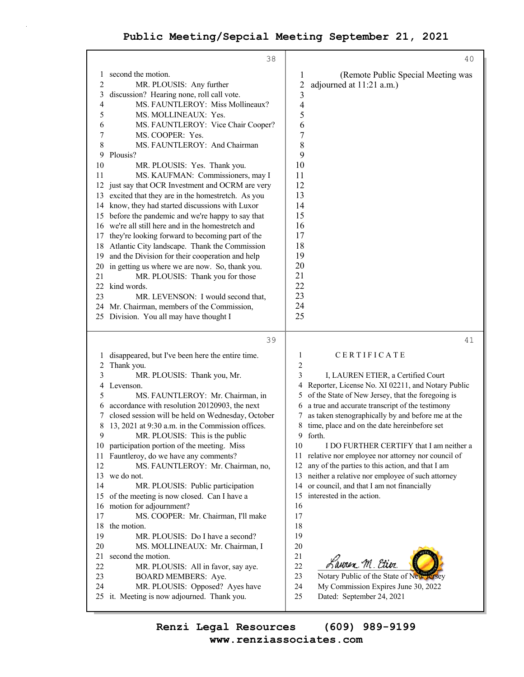$\Gamma$ 

|                | 38                                                | 40                                                      |
|----------------|---------------------------------------------------|---------------------------------------------------------|
| 1              | second the motion.                                | (Remote Public Special Meeting was<br>1                 |
| $\overline{c}$ | MR. PLOUSIS: Any further                          | $\overline{c}$<br>adjourned at 11:21 a.m.)              |
| 3              | discussion? Hearing none, roll call vote.         | 3                                                       |
| 4              | MS. FAUNTLEROY: Miss Mollineaux?                  | $\overline{4}$                                          |
| 5              | MS. MOLLINEAUX: Yes.                              | 5                                                       |
| 6              | MS. FAUNTLEROY: Vice Chair Cooper?                | 6                                                       |
| 7              | MS. COOPER: Yes.                                  | 7                                                       |
| 8              | MS. FAUNTLEROY: And Chairman                      | 8                                                       |
| 9              | Plousis?                                          | 9                                                       |
| 10             | MR. PLOUSIS: Yes. Thank you.                      | 10                                                      |
| 11             | MS. KAUFMAN: Commissioners, may I                 | 11                                                      |
| 12             | just say that OCR Investment and OCRM are very    | 12                                                      |
| 13             |                                                   | 13                                                      |
|                | excited that they are in the homestretch. As you  |                                                         |
| 14             | know, they had started discussions with Luxor     | 14                                                      |
| 15             | before the pandemic and we're happy to say that   | 15                                                      |
| 16             | we're all still here and in the homestretch and   | 16                                                      |
| 17             | they're looking forward to becoming part of the   | 17                                                      |
| 18             | Atlantic City landscape. Thank the Commission     | 18                                                      |
| 19             | and the Division for their cooperation and help   | 19                                                      |
| 20             | in getting us where we are now. So, thank you.    | 20<br>21                                                |
| 21             | MR. PLOUSIS: Thank you for those                  | 22                                                      |
| 22             | kind words.                                       | 23                                                      |
| 23             | MR. LEVENSON: I would second that,                | 24                                                      |
| 24             | Mr. Chairman, members of the Commission,          | 25                                                      |
| 25             | Division. You all may have thought I              |                                                         |
|                | 39                                                | 41                                                      |
| 1              | disappeared, but I've been here the entire time.  | 1<br>CERTIFICATE                                        |
| 2              | Thank you.                                        | 2                                                       |
| 3              | MR. PLOUSIS: Thank you, Mr.                       | 3<br>I, LAUREN ETIER, a Certified Court                 |
| 4              | Levenson.                                         | Reporter, License No. XI 02211, and Notary Public<br>4  |
| 5              | MS. FAUNTLEROY: Mr. Chairman, in                  | of the State of New Jersey, that the foregoing is<br>5  |
| 6              | accordance with resolution 20120903, the next     | a true and accurate transcript of the testimony<br>6    |
| 7              | closed session will be held on Wednesday, October | as taken stenographically by and before me at the<br>7  |
| 8              | 13, 2021 at 9:30 a.m. in the Commission offices.  | time, place and on the date hereinbefore set<br>8       |
| 9              | MR. PLOUSIS: This is the public                   | 9 forth.                                                |
| 10             | participation portion of the meeting. Miss        | 10<br>I DO FURTHER CERTIFY that I am neither a          |
| 11             | Fauntleroy, do we have any comments?              | 11<br>relative nor employee nor attorney nor council of |
| 12             | MS. FAUNTLEROY: Mr. Chairman, no,                 | any of the parties to this action, and that I am<br>12  |
| 13             | we do not.                                        | neither a relative nor employee of such attorney<br>13  |
| 14             | MR. PLOUSIS: Public participation                 | or council, and that I am not financially<br>14         |
| 15             | of the meeting is now closed. Can I have a        | interested in the action.<br>15                         |
| 16             | motion for adjournment?                           | 16                                                      |
| 17             | MS. COOPER: Mr. Chairman, I'll make               | 17                                                      |
| 18             | the motion.                                       | 18                                                      |
| 19             | MR. PLOUSIS: Do I have a second?                  | 19                                                      |
| 20             | MS. MOLLINEAUX: Mr. Chairman, I                   | 20                                                      |
| 21             | second the motion.                                | 21                                                      |
| 22             | MR. PLOUSIS: All in favor, say aye.               | Lauren M. Etier<br>22                                   |
| 23             | <b>BOARD MEMBERS: Aye.</b>                        | Notary Public of the State of New Jersey<br>23          |
| 24             | MR. PLOUSIS: Opposed? Ayes have                   | 24<br>My Commission Expires June 30, 2022               |
|                | 25 it. Meeting is now adjourned. Thank you.       | 25<br>Dated: September 24, 2021                         |
|                |                                                   |                                                         |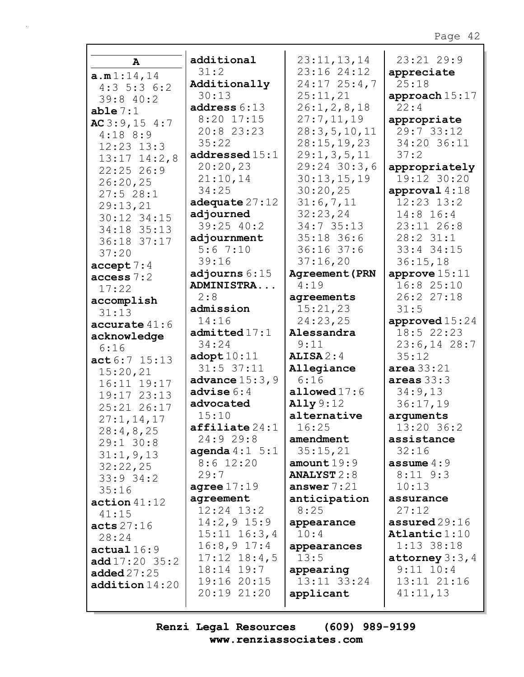| A                                | additional                | 23:11,13,14           | 23:21 29:9         |
|----------------------------------|---------------------------|-----------------------|--------------------|
| a.m1:14,14                       | 31:2                      | 23:16 24:12           | appreciate         |
| $4:3\ 5:3\ 6:2$                  | Additionally              | $24:17$ $25:4,7$      | 25:18              |
| 39:840:2                         | 30:13                     | 25:11,21              | approach 15:17     |
| able $7:1$                       | address 6:13              | 26:1, 2, 8, 18        | 22:4               |
| AC3:9,154:7                      | 8:20 17:15                | 27:7,11,19            | appropriate        |
| $4:18$ 8:9                       | 20:8 23:23                | 28:3,5,10,11          | 29:7 33:12         |
| $12:23$ $13:3$                   | 35:22                     | 28:15,19,23           | 34:20 36:11        |
|                                  | addressed15:1             | 29:1, 3, 5, 11        | 37:2               |
| $13:17$ $14:2,8$<br>$22:25$ 26:9 | 20:20,23                  | $29:24$ 30:3,6        | appropriately      |
|                                  | 21:10,14                  | 30:13,15,19           | 19:12 30:20        |
| 26:20,25                         | 34:25                     | 30:20,25              | approval $4:18$    |
| 27:528:1                         | adequate $27:12$          | 31:6,7,11             | $12:23$ $13:2$     |
| 29:13,21                         | adjourned                 | 32:23,24              | $14:8$ 16:4        |
| 30:12 34:15                      | 39:25 40:2                | 34:7 35:13            | $23:11$ $26:8$     |
| 34:18 35:13                      |                           | 35:18 36:6            | 28:231:1           |
| 36:18 37:17                      | adjournment<br>5:67:10    | $36:16$ 37:6          |                    |
| 37:20                            |                           |                       | 33:4 34:15         |
| accept 7:4                       | 39:16                     | 37:16,20              | 36:15,18           |
| access 7:2                       | adjourns $6:15$           | <b>Agreement (PRN</b> | approve $15:11$    |
| 17:22                            | ADMINISTRA                | 4:19                  | 16:825:10          |
| accomplish                       | 2:8                       | agreements            | 26:2 27:18         |
| 31:13                            | admission                 | 15:21,23              | 31:5               |
| accurate $41:6$                  | 14:16                     | 24:23,25              | approved 15:24     |
| acknowledge                      | admitted 17:1             | Alessandra            | $18:5$ 22:23       |
| 6:16                             | 34:24                     | 9:11                  | $23:6, 14$ 28:7    |
| act 6:7 15:13                    | $\texttt{adopt10:11}$     | ALISA2:4              | 35:12              |
| 15:20,21                         | $31:5$ $37:11$            | Allegiance            | area $33:21$       |
| 16:11 19:17                      | advance $15:3,9$          | 6:16                  | areas $33:3$       |
| 19:17 23:13                      | advise $6:4$              | allowed $17:6$        | 34:9,13            |
| 25:21 26:17                      | advocated                 | Ally 9:12             | 36:17,19           |
| 27:1, 14, 17                     | 15:10                     | alternative           | arguments          |
| 28:4,8,25                        | $\texttt{affiliate} 24:1$ | 16:25                 | 13:20 36:2         |
| $29:1$ 30:8                      | 24:9 29:8                 | amendment             | assistance         |
| 31:1, 9, 13                      | <b>agenda</b> $4:1 \ 5:1$ | 35:15,21              | 32:16              |
| 32:22,25                         | $8:6$ 12:20               | amount $19:9$         | assume $4:9$       |
| $33:9$ $34:2$                    | 29:7                      | <b>ANALYST</b> $2:8$  | $8:11$ $9:3$       |
| 35:16                            | agree $17:19$             | answer $7:21$         | 10:13              |
| action $41:12$                   | agreement                 | anticipation          | assurance          |
| 41:15                            | $12:24$ $13:2$            | 8:25                  | 27:12              |
| acts $27:16$                     | $14:2,9$ 15:9             | appearance            | assured $29:16$    |
| 28:24                            | $15:11$ $16:3,4$          | 10:4                  | Atlantic $1:10$    |
|                                  | $16:8,9$ 17:4             | appearances           | $1:13$ 38:18       |
| actual16:9                       | $17:12$ $18:4,5$          | 13:5                  | attorney $3:3$ , 4 |
| $add17:20$ 35:2                  | $18:14$ $19:7$            | appearing             | $9:11$ $10:4$      |
| added $27:25$                    | 19:16 20:15               | 13:11 33:24           | 13:11 21:16        |
| addition14:20                    | 20:19 21:20               | applicant             | 41:11,13           |
|                                  |                           |                       |                    |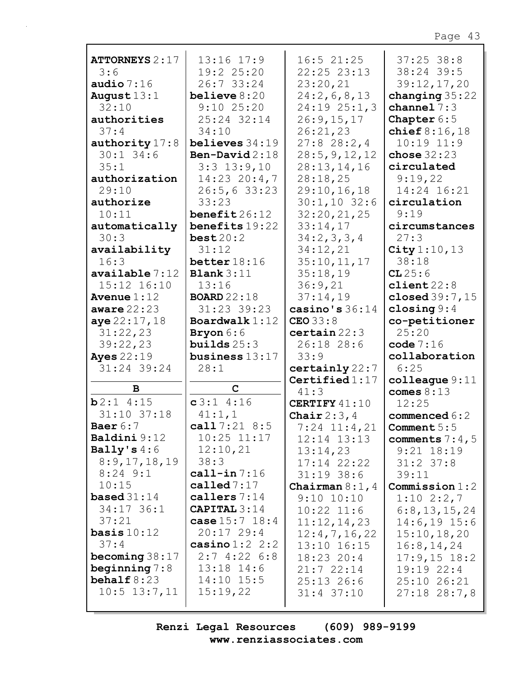| <b>ATTORNEYS 2:17</b>            | 13:16 17:9                     | $16:5$ 21:25                 | $37:25$ 38:8                    |
|----------------------------------|--------------------------------|------------------------------|---------------------------------|
| 3:6                              | 19:2 25:20                     | 22:25 23:13                  | 38:24 39:5                      |
| audio $7:16$                     | 26:7 33:24                     | 23:20,21                     | 39:12,17,20                     |
| August $13:1$                    | believe $8:20$                 | 24:2,6,8,13                  | changing $35:22$                |
| 32:10                            | $9:10$ 25:20                   | 24:19 25:1,3                 | channel $7:3$                   |
| authorities                      | 25:24 32:14                    | 26:9,15,17                   | Chapter $6:5$                   |
| 37:4                             | 34:10                          | 26:21,23                     | chief $8:16,18$                 |
| authority $17:8$                 | believes $34:19$               | $27:8$ 28:2,4                | $10:19$ $11:9$                  |
| $30:1$ 34:6                      | Ben-David $2:18$               | 28:5, 9, 12, 12              | chose $32:23$                   |
| 35:1                             | $3:3$ 13:9,10                  | 28:13,14,16                  | circulated                      |
| authorization                    | $14:23$ 20:4,7                 | 28:18,25                     | 9:19,22                         |
| 29:10                            | 26:5, 633:23                   | 29:10,16,18                  | 14:24 16:21                     |
| authorize                        | 33:23                          | $30:1,10$ 32:6               | circulation                     |
| 10:11                            | $\texttt{ benefit26:12}$       | 32:20,21,25                  | 9:19                            |
| automatically                    | benefits 19:22                 | 33:14,17                     | circumstances                   |
| 30:3                             | best20:2                       | 34:2,3,3,4                   | 27:3                            |
| availability                     | 31:12                          | 34:12,21                     | City $1:10, 13$                 |
| 16:3                             | better $18:16$                 | 35:10, 11, 17                | 38:18                           |
| $\alpha$ vailable $7:12$         | <b>Blank</b> $3:11$            | 35:18,19                     | CL25:6                          |
| 15:12 16:10                      | 13:16                          | 36:9,21                      | client22:8                      |
| Avenue $1:12$                    | <b>BOARD</b> 22:18             | 37:14,19                     | closed 39:7, 15                 |
| aware $22:23$                    | 31:23 39:23                    | casino's $36:14$             | closing $9:4$                   |
| aye 22:17,18                     | Boardwalk $1:12$               | $CEO$ 33:8                   | co-petitioner                   |
| 31:22,23                         | Bryon 6:6                      | certain 22:3                 | 25:20                           |
|                                  |                                |                              |                                 |
| 39:22,23                         | builds $25:3$                  | 26:18 28:6                   | code $7:16$                     |
| <b>Ayes</b> 22:19                | business $13:17$               | 33:9                         | collaboration                   |
| 31:24 39:24                      | 28:1                           | certainly 22:7               | 6:25                            |
|                                  |                                | Certified $1:17$             | $\texttt{colleague} 9:11$       |
| B                                | $\mathbf C$                    | 41:3                         | comes $8:13$                    |
| b2:14:15                         | c3:14:16                       | CERTIFY 41:10                | 12:25                           |
| 31:10 37:18                      | 41:1,1                         | Chair $2:3,4$                | commenced 6:2                   |
| Baer $6:7$                       | call $7:21$ 8:5                | $7:24$ 11:4,21               | Comment $5:5$                   |
| Baldini 9:12                     | $10:25$ $11:17$                | $12:14$ $13:13$              | comments $7:4,5$                |
| Bally's $4:6$                    | 12:10,21                       | 13:14,23                     | $9:21$ $18:19$                  |
| 8:9,17,18,19                     | 38:3                           | 17:14 22:22                  | $31:2$ 37:8                     |
| $8:24$ 9:1                       | call-in $7:16$                 | $31:19$ 38:6                 | 39:11                           |
| 10:15                            | called $7:17$                  | Chairman $8:1$ , 4           | Commission 1:2                  |
| <b>based</b> $31:14$             | callers $7:14$                 | $9:10$ $10:10$               | $1:10$ $2:2,7$                  |
| 34:17 36:1                       | CAPITAL $3:14$                 | $10:22$ $11:6$               | 6:8,13,15,24                    |
| 37:21                            | case $15:7$ $18:4$             | 11:12,14,23                  | $14:6, 19$ 15:6                 |
| basis $10:12$                    | $20:17$ 29:4                   | 12:4,7,16,22                 | 15:10, 18, 20                   |
| 37:4                             | casino $1:2$ 2:2<br>2:74:226:8 | 13:10 16:15                  | 16:8, 14, 24                    |
| becoming $38:17$                 |                                | 18:23 20:4                   | $17:9,15$ 18:2                  |
| beginning $7:8$<br>behalf $8:23$ | $13:18$ $14:6$<br>$14:10$ 15:5 | 21:722:14                    | 19:192:24                       |
| $10:5$ $13:7,11$                 | 15:19,22                       | $25:13$ 26:6<br>$31:4$ 37:10 | 25:10 26:21<br>$27:18$ $28:7,8$ |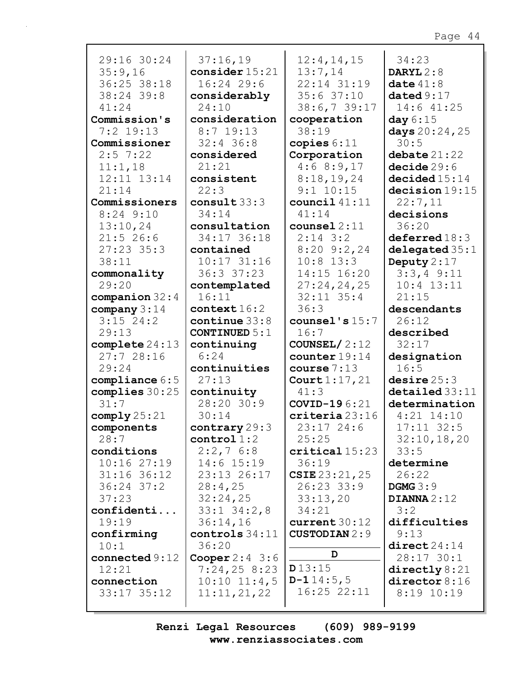|                  |                      |                      | r aga<br>$\frac{1}{2}$    |
|------------------|----------------------|----------------------|---------------------------|
|                  |                      |                      |                           |
| 29:16 30:24      | 37:16,19             | 12:4,14,15           | 34:23                     |
| 35:9,16          | consider $15:21$     | 13:7,14              | DARYL $2:8$               |
| 36:25 38:18      | 16:24 29:6           | 22:14 31:19          | date $41:8$               |
| 38:24 39:8       | considerably         | 35:637:10            | dataed9:17                |
| 41:24            | 24:10                | 38:6,739:17          | $14:6$ $41:25$            |
| Commission's     | consideration        | cooperation          | day $6:15$                |
| $7:2$ 19:13      | $8:7$ 19:13          | 38:19                | days 20:24, 25            |
| Commissioner     | $32:4$ 36:8          | copies $6:11$        | 30:5                      |
|                  |                      |                      |                           |
| $2:5$ 7:22       | considered           | Corporation          | debate $21:22$            |
| 11:1,18          | 21:21                | 4:68:9,17            | decide29:6                |
| 12:11 13:14      | consistent           | 8:18,19,24           | decided15:14              |
| 21:14            | 22:3                 | $9:1$ 10:15          | decision 19:15            |
| Commissioners    | consult $33:3$       | council $41:11$      | 22:7,11                   |
| $8:24$ $9:10$    | 34:14                | 41:14                | decisions                 |
| 13:10,24         | consultation         | $course12:11$        | 36:20                     |
| $21:5$ 26:6      | 34:17 36:18          | $2:14$ 3:2           | deferred 18:3             |
| $27:23$ 35:3     | contained            | $8:20$ 9:2,24        | delegrated 35:1           |
| 38:11            | $10:17$ 31:16        | $10:8$ 13:3          | Deputy $2:17$             |
| commonality      | 36:337:23            | 14:15 16:20          | $3:3,4$ 9:11              |
|                  |                      |                      |                           |
| 29:20            | contemplated         | 27:24,24,25          | $10:4$ $13:11$            |
| companion $32:4$ | 16:11                | $32:11$ $35:4$       | 21:15                     |
| company $3:14$   | context16:2          | 36:3                 | descendants               |
| $3:15$ 24:2      | continue $33:8$      | counsel's $15:7$     | 26:12                     |
| 29:13            | <b>CONTINUED 5:1</b> | 16:7                 | described                 |
| complete $24:13$ | continuing           | COUNSEL/ $2:12$      | 32:17                     |
| 27:728:16        | 6:24                 | counter 19:14        | designation               |
| 29:24            | continuities         | course $7:13$        | 16:5                      |
| compliance $6:5$ | 27:13                | Court $1:17,21$      | desire 25:3               |
| complies $30:25$ | continuity           | 41:3                 | $\texttt{detailed} 33:11$ |
| 31:7             | 28:20 30:9           | COVID-196:21         | determination             |
|                  |                      |                      |                           |
| comply25:21      | 30:14                | criteria23:16        | $4:21$ $14:10$            |
| components       | contrary $29:3$      | $23:17$ 24:6         | $17:11$ 32:5              |
| 28:7             | control1:2           | 25:25                | 32:10, 18, 20             |
| conditions       | $2:2,7$ 6:8          | critical15:23        | 33:5                      |
| 10:1627:19       | 14:6 15:19           | 36:19                | determine                 |
| $31:16$ 36:12    | 23:13 26:17          | $CSTE$ 23:21,25      | 26:22                     |
| $36:24$ 37:2     | 28:4,25              | 26:23 33:9           | DGMG $3:9$                |
| 37:23            | 32:24,25             | 33:13,20             | DIANNA $2:12$             |
| confidenti       | $33:1$ $34:2,8$      | 34:21                | 3:2                       |
| 19:19            | 36:14,16             | current $30:12$      | difficulties              |
|                  | controls 34:11       | <b>CUSTODIAN</b> 2:9 |                           |
| confirming       |                      |                      | 9:13                      |
| 10:1             | 36:20                | D                    | direct24:14               |
| connected $9:12$ | Cooper $2:4$ 3:6     |                      | 28:17 30:1                |
| 12:21            | 7:24,258:23          | D13:15               | $\text{directly} 8:21$    |
| connection       | $10:10$ $11:4,5$     | $D-114:5,5$          | $\text{directory } 8:16$  |
| $33:17$ $35:12$  | 11:11,21,22          | $16:25$ $22:11$      | $8:19$ 10:19              |
|                  |                      |                      |                           |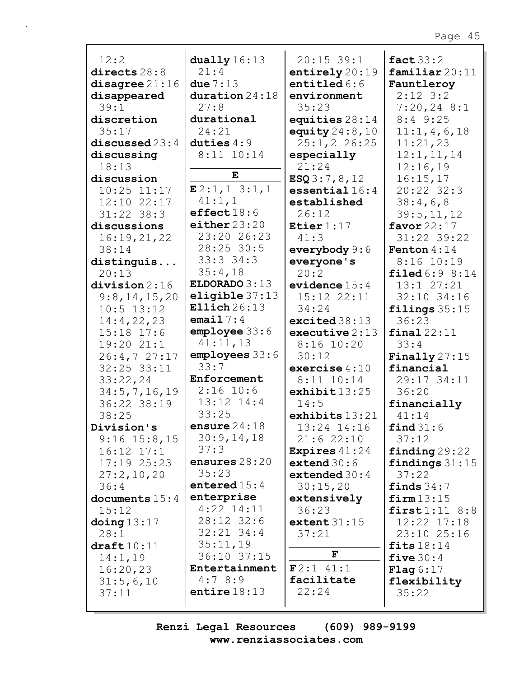| 12:2                 |                            |                                |                               |
|----------------------|----------------------------|--------------------------------|-------------------------------|
| directs $28:8$       | dually $16:13$<br>21:4     | $20:15$ 39:1<br>entirely 20:19 | fact $33:2$<br>familiar 20:11 |
| disagree 21:16       | due $7:13$                 | entitled $6:6$                 | Fauntleroy                    |
| disappeared          | duration 24:18             | environment                    | $2:12$ 3:2                    |
| 39:1                 | 27:8                       | 35:23                          | $7:20,24$ 8:1                 |
| discretion           | durational                 | equities $28:14$               | $8:4$ 9:25                    |
| 35:17                | 24:21                      | equity $24:8,10$               | 11:1,4,6,18                   |
| discussed 23:4       | duties $4:9$               | 25:1, 2 26:25                  | 11:21,23                      |
| discussing           | 8:11 10:14                 | especially                     | 12:1, 11, 14                  |
| 18:13                |                            | 21:24                          | 12:16,19                      |
| discussion           | E                          | ESQ3:7,8,12                    | 16:15,17                      |
| $10:25$ $11:17$      | E2:1,13:1,1                | essential $16:4$               | 20:22 32:3                    |
| 12:10 22:17          | 41:1,1                     | established                    | 38:4,6,8                      |
| $31:22$ $38:3$       | effect18:6                 | 26:12                          | 39:5, 11, 12                  |
| discussions          | either $23:20$             | Etier $1:17$                   | favor $22:17$                 |
| 16:19,21,22          | 23:20 26:23                | 41:3                           | 31:22 39:22                   |
| 38:14                | 28:25 30:5                 | everybody 9:6                  | Fenton $4:14$                 |
| distinguis           | 33:331:34:3                | everyone's                     | $8:16$ 10:19                  |
| 20:13                | 35:4,18                    | 20:2                           | $\texttt{filled} 6:9 8:14$    |
| division 2:16        | ELDORADO 3:13              | evidence $15:4$                | 13:1 27:21                    |
| 9:8,14,15,20         | eligible 37:13             | 15:12 22:11                    | 32:10 34:16                   |
| $10:5$ 13:12         | Ellich $26:13$             | 34:24                          | filings $35:15$               |
| 14:4,22,23           | email $7:4$                | excited 38:13                  | 36:23                         |
| $15:18$ $17:6$       | employee 33:6              | executive $2:13$               | final22:11                    |
| 19:20 21:1           | 41:11,13                   | $8:16$ 10:20                   | 33:4                          |
| 26:4,727:17          | employes 33:6              | 30:12                          | Finally $27:15$               |
| 32:25 33:11          | 33:7                       | exercise $4:10$                | financial                     |
| 33:22,24             | Enforcement                | $8:11$ $10:14$                 | 29:17 34:11                   |
| 34:5, 7, 16, 19      | $2:16$ 10:6                | exhibit $13:25$                | 36:20                         |
| 36:22 38:19          | $13:12$ $14:4$             | 14:5                           | financially                   |
| 38:25                | 33:25                      | exhibits $13:21$               | 41:14                         |
| Division's           | ensure $24:18$             | $13:24$ $14:16$                | find 31:6                     |
| $9:16$ $15:8,15$     | 30:9,14,18                 | 21:622:10                      | 37:12                         |
| $16:12$ $17:1$       | 37:3                       | <b>Expires</b> $41:24$         | $\pi$ inding 29:22            |
| $17:19$ $25:23$      | ensures 28:20              | extend $30:6$                  | findings $31:15$              |
| 27:2,10,20           | 35:23                      | extended $30:4$                | 37:22                         |
| 36:4                 | entered $15:4$             | 30:15,20                       | finds $34:7$                  |
| documents $15:4$     | enterprise<br>$4:22$ 14:11 | extensively                    | firm13:15                     |
| 15:12                | 28:12 32:6                 | 36:23                          | first1:11 8:8                 |
| doing $13:17$        | $32:21$ $34:4$             | extent $31:15$<br>37:21        | 12:22 17:18<br>23:10 25:16    |
| 28:1<br>$draff10:11$ | 35:11,19                   |                                | fits $18:14$                  |
| 14:1,19              | 36:10 37:15                | $\mathbf F$                    | five $30:4$                   |
| 16:20,23             | Entertainment              | $F2:1$ 41:1                    | <b>Flag</b> $6:17$            |
| 31:5,6,10            | 4:78:9                     | facilitate                     | flexibility                   |
| 37:11                | entire $18:13$             | 22:24                          | 35:22                         |
|                      |                            |                                |                               |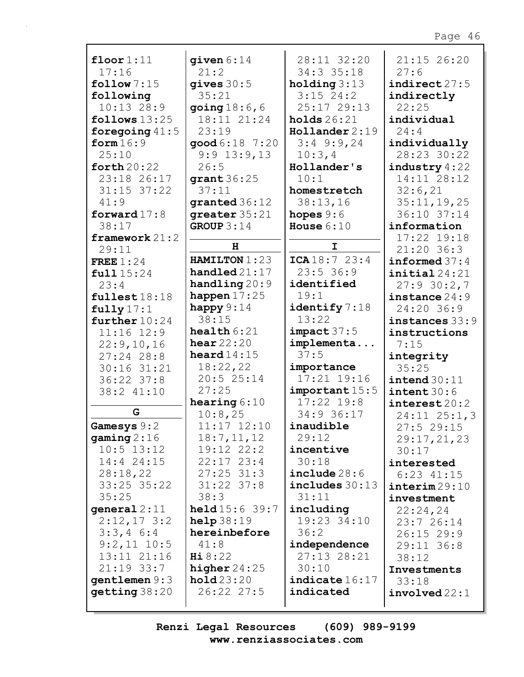| floor $1:11$     | given $6:14$           | 28:11 32:20       | 21:15 26:20              |
|------------------|------------------------|-------------------|--------------------------|
| 17:16            | 21:2                   | 34:3 35:18        | 27:6                     |
| follow $7:15$    | gives $30:5$           | holding $3:13$    | indirect 27:5            |
| following        | 35:21                  | $3:15$ 24:2       | indirectly               |
| 10:1328:9        | going $18:6$ , 6       | 25:17 29:13       | 22:25                    |
| follows $13:25$  | 18:11 21:24            | holds $26:21$     | individual               |
| foregoing $41:5$ | 23:19                  | $H$ ollander 2:19 | 24:4                     |
| form $16:9$      | good 6:18 7:20         | $3:4$ 9:9,24      | individually             |
| 25:10            | $9:9$ 13:9,13          | 10:3,4            | 28:23 30:22              |
| forth $20:22$    | 26:5                   | Hollander's       | industry 4:22            |
| 23:18 26:17      | grant $36:25$          | 10:1              | 14:11 28:12              |
| $31:15$ $37:22$  | 37:11                  | homestretch       | 32:6,21                  |
| 41:9             |                        | 38:13,16          | 35:11, 19, 25            |
|                  | granted 36:12          |                   |                          |
| forward $17:8$   | greater 35:21          | hopes $9:6$       | 36:10 37:14              |
| 38:17            | GROUP $3:14$           | House $6:10$      | information              |
| framework $21:2$ | H                      | $\mathbf I$       | 17:22 19:18              |
| 29:11            |                        |                   | 21:20 36:3               |
| FREE $1:24$      | HAMILTON 1:23          | ICA18:723:4       | informed $37:4$          |
| full15:24        | $handled$ $21:17$      | 23:536:9          | initial24:21             |
| 23:4             | handling 20:9          | identified        | 27:930:2,7               |
| fullest18:18     | happen $17:25$         | 19:1              | instance 24:9            |
| fully 17:1       | happy $9:14$           | identify 7:18     | 24:20 36:9               |
| further $10:24$  | 38:15                  | 13:22             | instances 33:9           |
| $11:16$ $12:9$   | $\texttt{health} 6:21$ | impact 37:5       | instructions             |
| 22:9,10,16       | hear $22:20$           | implementa        | 7:15                     |
| $27:24$ 28:8     | heard $14:15$          | 37:5              | integrity                |
| 30:16 31:21      | 18:22,22               | importance        | 35:25                    |
| 36:22 37:8       | 20:5 25:14             | 17:21 19:16       | intend 30:11             |
| 38:2 41:10       | 27:25                  | important 15:5    | intent 30:6              |
|                  | hearing $6:10$         | $17:22$ 19:8      | $\texttt{interest20:2}$  |
| G                | 10:8,25                | 34:9 36:17        | $24:11$ $25:1,3$         |
| Gamesys 9:2      | 11:17 12:10            | inaudible         | 27:5 29:15               |
| gaming $2:16$    | 18:7, 11, 12           | 29:12             | 29:17, 21, 23            |
| $10:5$ 13:12     | 19:12 22:2             | incentive         |                          |
| 14:4 24:15       | $22:17$ $23:4$         | 30:18             | 30:17                    |
| 28:18,22         | $27:25$ 31:3           | include 28:6      | interested               |
|                  |                        |                   | $6:23$ $41:15$           |
| 33:25 35:22      | $31:22$ $37:8$         | $includes$ 30:13  | $\texttt{interim} 29:10$ |
| 35:25            | 38:3                   | 31:11             | investment               |
| general $2:11$   | $\text{held}15:639:7$  | including         | 22:24,24                 |
| $2:12,17$ 3:2    | help38:19              | 19:23 34:10       | 23:726:14                |
| $3:3,4$ 6:4      | hereinbefore           | 36:2              | $26:15$ 29:9             |
| $9:2,11$ 10:5    | 41:8                   | independence      | 29:11 36:8               |
| 13:11 21:16      | Hi8:22                 | 27:13 28:21       | 38:12                    |
| $21:19$ 33:7     | higher $24:25$         | 30:10             | Investments              |
| gentlemen $9:3$  | hold23:20              | indicate 16:17    | 33:18                    |
| getting 38:20    | 26:22 27:5             | indicated         | involved22:1             |
|                  |                        |                   |                          |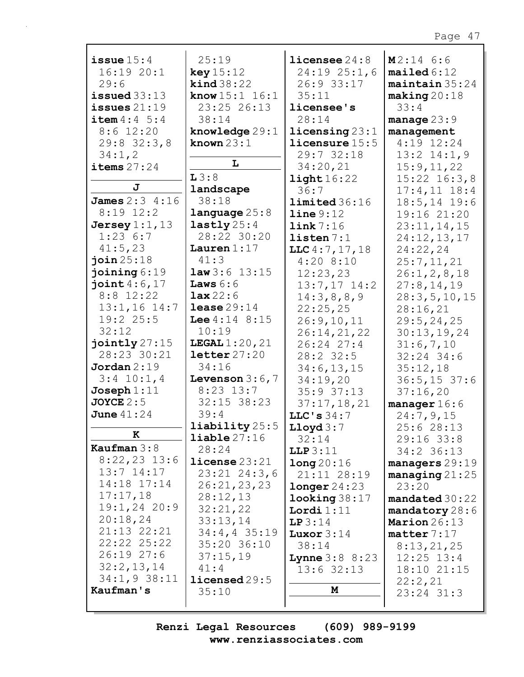| issue $15:4$            | 25:19                      | licensee $24:8$           | $M2:14$ 6:6            |
|-------------------------|----------------------------|---------------------------|------------------------|
| 16:1920:1               | key 15:12                  | $24:19$ $25:1,6$          | mailed 6:12            |
| 29:6                    | $\text{kind } 38:22$       | 26:9 33:17                | maintain 35:24         |
| issued $33:13$          | <b>know</b> $15:1$ $16:1$  | 35:11                     | making 20:18           |
| issues $21:19$          | 23:25 26:13                | licensee's                | 33:4                   |
|                         |                            |                           |                        |
| <b>item</b> $4:4 \ 5:4$ | 38:14                      | 28:14                     | manage $23:9$          |
| $8:6$ 12:20             | knowledge $29:1$           | $l$ icensing $23:1$       | management             |
| $29:8$ 32:3,8           | known $23:1$               | licensure 15:5            | $4:19$ 12:24           |
| 34:1,2                  |                            | 29:7 32:18                | $13:2$ $14:1,9$        |
| items $27:24$           | L                          | 34:20,21                  | 15:9,11,22             |
|                         | L3:8                       | $\texttt{light}16:22$     | $15:22$ $16:3,8$       |
| J                       | landscape                  |                           |                        |
|                         | 38:18                      | 36:7                      | $17:4,11$ $18:4$       |
| <b>James</b> $2:3$ 4:16 |                            | limited 36:16             | $18:5, 14$ 19:6        |
| $8:19$ 12:2             | language25:8               | line 9:12                 | 19:16 21:20            |
| Jersey $1:1$ , $13$     | lastly $25:4$              | link 7:16                 | 23:11,14,15            |
| 1:236:7                 | 28:22 30:20                | listen 7:1                | 24:12,13,17            |
| 41:5,23                 | Lauren $1:17$              | LLC $4:7, 17, 18$         | 24:22,24               |
| join25:18               | 41:3                       | 4:208:10                  |                        |
|                         | $law3:6$ 13:15             |                           | 25:7,11,21             |
| joining $6:19$          |                            | 12:23,23                  | 26:1, 2, 8, 18         |
| joint $4:6,17$          | <b>Laws</b> $6:6$          | $13:7,17$ $14:2$          | 27:8, 14, 19           |
| $8:8$ 12:22             | lax22:6                    | 14:3,8,8,9                | 28:3,5,10,15           |
| $13:1,16$ 14:7          | lease $29:14$              | 22:25,25                  | 28:16,21               |
| $19:2$ 25:5             | <b>Lee</b> $4:14$ $8:15$   | 26:9, 10, 11              | 29:5, 24, 25           |
| 32:12                   | 10:19                      | 26:14,21,22               | 30:13,19,24            |
| jointly 27:15           |                            |                           |                        |
|                         | <b>LEGAL</b> $1:20,21$     | 26:24 27:4                | 31:6,7,10              |
| 28:23 30:21             | letter27:20                | $28:2$ 32:5               | $32:24$ 34:6           |
| Jordan 2:19             | 34:16                      | 34:6, 13, 15              | 35:12,18               |
| $3:4$ 10:1,4            | Levenson $3:6,7$           | 34:19,20                  | $36:5, 15$ 37:6        |
| Joseph 1:11             | $8:23$ 13:7                | $35:9$ $37:13$            | 37:16,20               |
| $JOYCE$ 2:5             | $32:15$ $38:23$            | 37:17,18,21               | manager $16:6$         |
| June $41:24$            | 39:4                       | LLC's $34:7$              | 24:7,9,15              |
|                         | liability 25:5             |                           |                        |
| $\mathbf K$             |                            | Lloyd $3:7$               | 25:628:13              |
|                         | $\texttt{liable} \, 27:16$ | 32:14                     | $29:16$ 33:8           |
| Kaufman $3:8$           | 28:24                      | LLP3:11                   | 34:2 36:13             |
| $8:22,23$ 13:6          | $license$ $23:21$          | long20:16                 | $managers 29:19$       |
| $13:7$ $14:17$          | $23:21$ $24:3,6$           | 21:11 28:19               | $managing 21:25$       |
| 14:18 17:14             | 26:21,23,23                | longer 24:23              | 23:20                  |
| 17:17,18                | 28:12,13                   | $\texttt{looking} 38:17$  | mandated 30:22         |
| $19:1,24$ 20:9          | 32:21,22                   |                           |                        |
| 20:18,24                |                            | Lordi $1:11$              | mandatory 28:6         |
|                         | 33:13,14                   | LP3:14                    | Marion 26:13           |
| 21:13 22:21             | $34:4,4$ 35:19             | Luxor $3:14$              | $\texttt{matter}$ 7:17 |
| 22:22 25:22             | 35:20 36:10                | 38:14                     | 8:13,21,25             |
| 26:1927:6               | 37:15,19                   | <b>Lynne</b> $3:8$ $8:23$ | $12:25$ $13:4$         |
| 32:2,13,14              | 41:4                       | $13:6$ 32:13              | 18:10 21:15            |
| $34:1,9$ 38:11          | licensed 29:5              |                           | 22:2,21                |
| Kaufman's               | 35:10                      | M                         |                        |
|                         |                            |                           | 23:24 31:3             |
|                         |                            |                           |                        |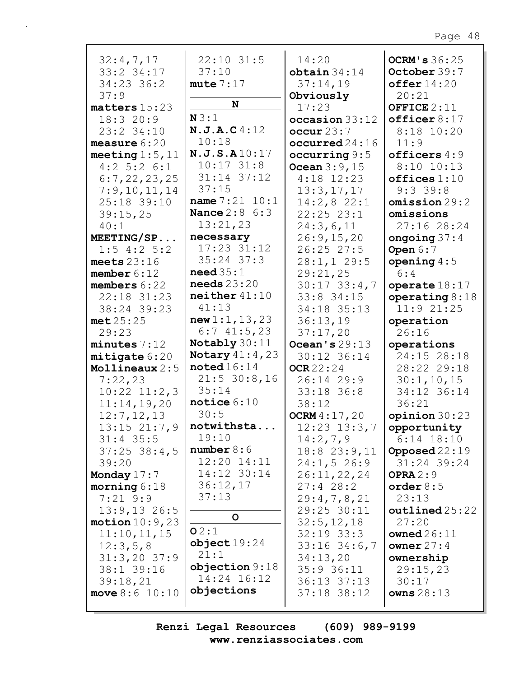|                      | 22:10 31:5              |                      | <b>OCRM's 36:25</b> |
|----------------------|-------------------------|----------------------|---------------------|
| 32:4,7,17            |                         | 14:20                |                     |
| 33:2 34:17           | 37:10                   | obtain 34:14         | October 39:7        |
| 34:23 36:2           | mute 7:17               | 37:14,19             | offer14:20          |
| 37:9                 | N                       | Obviously            | 20:21               |
| matters 15:23        | N3:1                    | 17:23                | OFFICE $2:11$       |
| 18:320:9             |                         | occasion 33:12       | officer 8:17        |
| 23:2 34:10           | N.J.A.C4:12             | $\text{occur } 23:7$ | $8:18$ 10:20        |
| measure $6:20$       | 10:18                   | occurred 24:16       | 11:9                |
| meeting $1:5$ , $11$ | N.J.S.A10:17            | occurring $9:5$      | officers $4:9$      |
| $4:2$ 5:2 6:1        | $10:17$ $31:8$          | Ocean $3:9,15$       | $8:10$ 10:13        |
| 6:7,22,23,25         | 31:14 37:12             | $4:18$ 12:23         | offices 1:10        |
| 7:9,10,11,14         | 37:15                   | 13:3,17,17           | $9:3$ 39:8          |
| 25:18 39:10          | name $7:21$ $10:1$      | $14:2,8$ 22:1        | omission 29:2       |
| 39:15,25             | <b>Nance 2:8 6:3</b>    | $22:25$ $23:1$       | omissions           |
| 40:1                 | 13:21,23                | 24:3,6,11            | 27:16 28:24         |
| MEETING/SP           | necessary               | 26:9,15,20           | ongoing $37:4$      |
| $1:5$ 4:2 5:2        | 17:23 31:12             | 26:25 27:5           | Open $6:7$          |
| meets $23:16$        | $35:24$ $37:3$          | 28:1, 129:5          | opening $4:5$       |
| member $6:12$        | need 35:1               | 29:21,25             | 6:4                 |
| members $6:22$       | needs $23:20$           | $30:17$ $33:4,7$     | operate $18:17$     |
| 22:18 31:23          | neither 41:10           | $33:8$ 34:15         | operating $8:18$    |
| 38:24 39:23          | 41:13                   | 34:18 35:13          | 11:921:25           |
| met25:25             | new 1:1, 13, 23         | 36:13,19             | operation           |
| 29:23                | 6:741:5,23              | 37:17,20             | 26:16               |
| minutes 7:12         | Notably 30:11           | Ocean's $29:13$      | operations          |
| mitigate 6:20        | <b>Notary</b> $41:4,23$ | 30:12 36:14          | 24:15 28:18         |
| Mollineaux 2:5       | $\texttt{noted16:14}$   | <b>OCR</b> 22:24     | 28:22 29:18         |
| 7:22,23              | $21:5$ 30:8,16          | 26:14 29:9           | 30:1, 10, 15        |
| $10:22$ $11:2,3$     | 35:14                   | 33:18 36:8           | 34:12 36:14         |
| 11:14,19,20          | notice $6:10$           | 38:12                | 36:21               |
| 12:7, 12, 13         | 30:5                    | OCRM $4:17,20$       | opinion 30:23       |
| $13:15$ $21:7,9$     | notwithsta              | $12:23$ $13:3,7$     | opportunity         |
| $31:4$ 35:5          | 19:10                   | 14:2,7,9             | $6:14$ 18:10        |
| $37:25$ $38:4,5$     | number 8:6              | $18:8$ 23:9, 11      | Opposed $22:19$     |
| 39:20                | 12:20 14:11             | 24:1, 526:9          | 31:24 39:24         |
| Monday $17:7$        | 14:12 30:14             | 26:11,22,24          | OPRA $2:9$          |
| morning $6:18$       | 36:12,17                | 27:428:2             | order $8:5$         |
| $7:21$ 9:9           | 37:13                   | 29:4,7,8,21          | 23:13               |
| $13:9,13$ 26:5       |                         | 29:25 30:11          | outlined25:22       |
| motion $10:9$ , 23   | $\mathsf{o}$            | 32:5, 12, 18         | 27:20               |
| 11:10,11,15          | O2:1                    | $32:19$ $33:3$       | owned $26:11$       |
| 12:3,5,8             | object19:24             | $33:16$ $34:6$ , 7   | owner $27:4$        |
| $31:3,20$ 37:9       | 21:1                    | 34:13,20             | ownership           |
| 38:1 39:16           | objection 9:18          | $35:9$ 36:11         | 29:15,23            |
| 39:18,21             | 14:24 16:12             | $36:13$ $37:13$      | 30:17               |
| move $8:6$ 10:10     | objections              | $37:18$ $38:12$      | owns $28:13$        |
|                      |                         |                      |                     |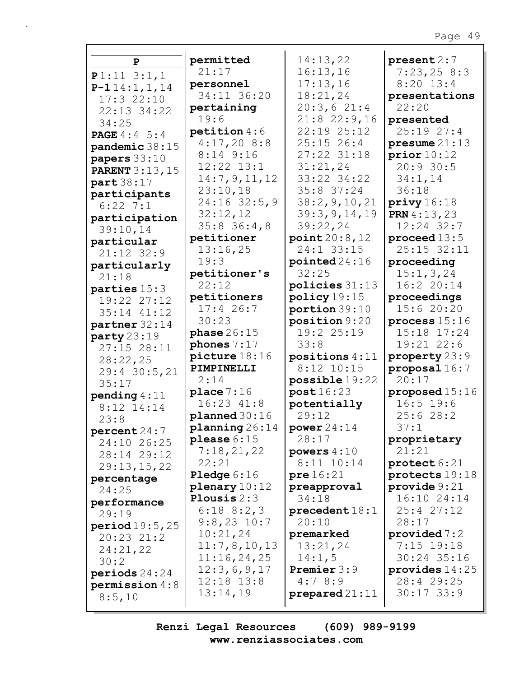| $\mathbf{P}$                 | permitted         | 14:13,22         | present 2:7             |
|------------------------------|-------------------|------------------|-------------------------|
|                              | 21:17             | 16:13,16         | 7:23,258:3              |
| $P1:11$ 3:1,1                | personnel         | 17:13,16         | $8:20$ 13:4             |
| $P-114:1, 1, 14$             | 34:11 36:20       | 18:21,24         | presentations           |
| 17:322:10                    | pertaining        | 20:3,621:4       | 22:20                   |
| 22:13 34:22                  | 19:6              | $21:8$ 22:9,16   | presented               |
| 34:25                        | $p$ etition $4:6$ | 22:19 25:12      | 25:1927:4               |
| <b>PAGE</b> 4:4 5:4          | 4:17,208:8        | $25:15$ 26:4     | presume $21:13$         |
| pandemic 38:15               | $8:14$ 9:16       | 27:22 31:18      | prior10:12              |
| papers $33:10$               | 12:22 13:1        | 31:21,24         | 20:930:5                |
| <b>PARENT 3:13,15</b>        | 14:7,9,11,12      | 33:22 34:22      | 34:1,14                 |
| part 38:17                   | 23:10,18          | 35:8 37:24       | 36:18                   |
| participants                 | $24:16$ 32:5,9    | 38:2, 9, 10, 21  | $\text{priv} 16:18$     |
| $6:22$ 7:1                   | 32:12,12          | 39:3, 9, 14, 19  | <b>PRN</b> $4:13,23$    |
| participation                | $35:8$ 36:4,8     | 39:22,24         | $12:24$ 32:7            |
| 39:10,14                     | petitioner        | point20:8,12     | proceed $13:5$          |
| particular                   | 13:16,25          | 24:1 33:15       | 25:15 32:11             |
| 21:12 32:9                   | 19:3              | pointed24:16     | proceeding              |
| particularly                 | petitioner's      | 32:25            | 15:1, 3, 24             |
| 21:18                        | 22:12             | policies 31:13   | 16:220:14               |
| parties 15:3                 | petitioners       | policy 19:15     | proceedings             |
| 19:22 27:12                  | $17:4$ 26:7       | portion 39:10    | 15:620:20               |
| 35:14 41:12                  | 30:23             | position 9:20    | process 15:16           |
| partner 32:14                | phase $26:15$     | 19:2 25:19       | 15:18 17:24             |
| party 23:19                  | phones $7:17$     | 33:8             | 19:21 22:6              |
| $27:15$ $28:11$              | picture 18:16     | positions $4:11$ | property 23:9           |
| 28:22,25                     | PIMPINELLI        | $8:12$ 10:15     | proposal 16:7           |
| 29:4 30:5,21                 | 2:14              | possible 19:22   | 20:17                   |
| 35:17                        | place 7:16        | post16:23        | proposed $15:16$        |
| pending $4:11$<br>8:12 14:14 | $16:23$ $41:8$    | potentially      | $16:5$ 19:6             |
| 23:8                         | plane d30:16      | 29:12            | 25:628:2                |
| percent24:7                  | planning $26:14$  | power $24:14$    | 37:1                    |
| 24:10 26:25                  | please $6:15$     | 28:17            | proprietary             |
| 28:14 29:12                  | 7:18,21,22        | powers $4:10$    | 21:21                   |
| 29:13,15,22                  | 22:21             | 8:11 10:14       | $\texttt{protech} 6:21$ |
| percentage                   | Pledge 6:16       | pre16:21         | protects $19:18$        |
| 24:25                        | $plane$ $10:12$   | preapproval      | provide $9:21$          |
| performance                  | Plousis $2:3$     | 34:18            | 16:10 24:14             |
| 29:19                        | $6:18$ $8:2,3$    | $precedent 18:1$ | 25:427:12               |
| period19:5,25                | $9:8,23$ 10:7     | 20:10            | 28:17                   |
| $20:23$ $21:2$               | 10:21,24          | premarked        | provided $7:2$          |
| 24:21,22                     | 11:7,8,10,13      | 13:21,24         | $7:15$ 19:18            |
| 30:2                         | 11:16,24,25       | 14:1,5           | 30:24 35:16             |
| periods $24:24$              | 12:3,6,9,17       | Premier 3:9      | provides $14:25$        |
| permission $4:8$             | $12:18$ $13:8$    | 4:78:9           | 28:4 29:25              |
| 8:5,10                       | 13:14,19          | $prepared 21:11$ | $30:17$ 33:9            |
|                              |                   |                  |                         |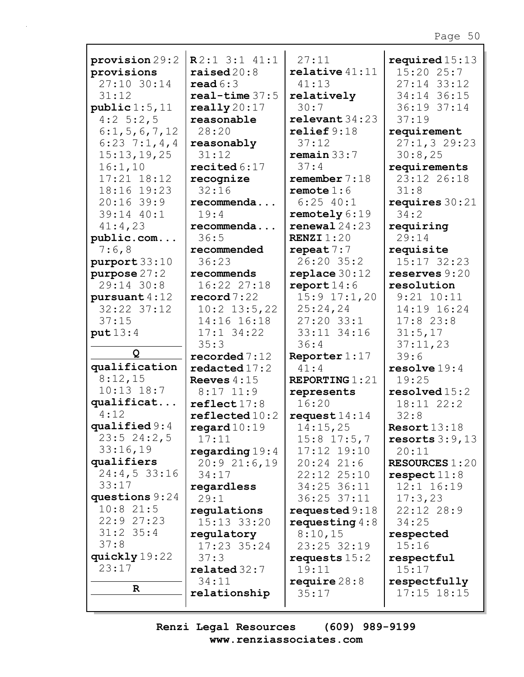|                           | R2:13:141:1              | 27:11               |                                |
|---------------------------|--------------------------|---------------------|--------------------------------|
| provision 29:2            | raised $20:8$            | $relative$ 41:11    | required $15:13$<br>15:20 25:7 |
| provisions<br>27:10 30:14 | read $6:3$               | 41:13               | 27:14 33:12                    |
| 31:12                     | $real-time 37:5$         |                     |                                |
|                           |                          | relatively<br>30:7  | 34:14 36:15                    |
| public 1:5, 11            | really $20:17$           |                     | 36:19 37:14                    |
| $4:2 \t5:2,5$             | reasonable               | relevent 34:23      | 37:19                          |
| 6:1, 5, 6, 7, 12          | 28:20                    | relief 9:18         | requirement                    |
| $6:23 \t7:1,4,4$          | reasonably               | 37:12               | 27:1,329:23                    |
| 15:13,19,25               | 31:12                    | remain 33:7         | 30:8,25                        |
| 16:1,10                   | recited $6:17$           | 37:4                | requirements                   |
| $17:21$ $18:12$           | recognize                | remember $7:18$     | 23:12 26:18                    |
| 18:16 19:23               | 32:16                    | remote $1:6$        | 31:8                           |
| $20:16$ 39:9              | recommenda               | $6:25$ 40:1         | requires $30:21$               |
| 39:14 40:1                | 19:4                     | remotely 6:19       | 34:2                           |
| 41:4,23                   | recommenda               | renewal $24:23$     | requiring                      |
| public.com                | 36:5                     | <b>RENZI</b> $1:20$ | 29:14                          |
| 7:6,8                     | recommended              | repeat $7:7$        | requisite                      |
| purport 33:10             | 36:23                    | 26:20 35:2          | 15:17 32:23                    |
| purpose $27:2$            | recommends               | replace $30:12$     | reserves $9:20$                |
| 29:14 30:8                | 16:22 27:18              | report $14:6$       | resolution                     |
| pursuant 4:12             | $\texttt{record}$ 7:22   | $15:9$ $17:1,20$    | $9:21$ $10:11$                 |
| $32:22$ $37:12$           | $10:2$ 13:5,22           | 25:24,24            | 14:19 16:24                    |
| 37:15                     | 14:16 16:18              | $27:20$ 33:1        | $17:8$ 23:8                    |
| put 13:4                  | $17:1$ 34:22             | 33:11 34:16         | 31:5,17                        |
|                           | 35:3                     | 36:4                | 37:11,23                       |
| Q                         | recorded $7:12$          | Reporter $1:17$     | 39:6                           |
| qualification             | redacted17:2             | 41:4                | resolve 19:4                   |
| 8:12,15                   | Reeves $4:15$            | REPORTING $1:21$    | 19:25                          |
| $10:13$ $18:7$            | $8:17$ 11:9              | represents          | resolved 15:2                  |
| qualificat                | reflect17:8              | 16:20               | 18:11 22:2                     |
| 4:12                      | $\texttt{reflected10:2}$ | request $14:14$     | 32:8                           |
| qualified $9:4$           | regard $10:19$           | 14:15,25            | Resort13:18                    |
| $23:5$ $24:2,5$           | 17:11                    | $15:8$ 17:5,7       | resorts $3:9,13$               |
| 33:16,19                  | regarding $19:4$         | 17:12 19:10         | 20:11                          |
| qualifiers                | 20:921:6,19              | $20:24$ $21:6$      | <b>RESOURCES 1:20</b>          |
| 24:4,533:16               | 34:17                    | 22:12 25:10         | respect $11:8$                 |
| 33:17                     | regardless               | 34:25 36:11         | $12:1$ $16:19$                 |
| questions $9:24$          | 29:1                     | $36:25$ $37:11$     | 17:3,23                        |
| $10:8$ 21:5               | regulations              | requested $9:18$    | 22:12 28:9                     |
| 22:927:23                 | 15:13 33:20              | requesting $4:8$    | 34:25                          |
| $31:2$ 35:4               | regulatory               | 8:10,15             | respected                      |
| 37:8                      | 17:23 35:24              | 23:25 32:19         | 15:16                          |
| quickly 19:22             | 37:3                     | requests $15:2$     | respectful                     |
| 23:17                     | related 32:7             | 19:11               | 15:17                          |
|                           | 34:11                    | require $28:8$      | respectfully                   |
| $\mathbf{R}$              | relationship             | 35:17               | $17:15$ $18:15$                |
|                           |                          |                     |                                |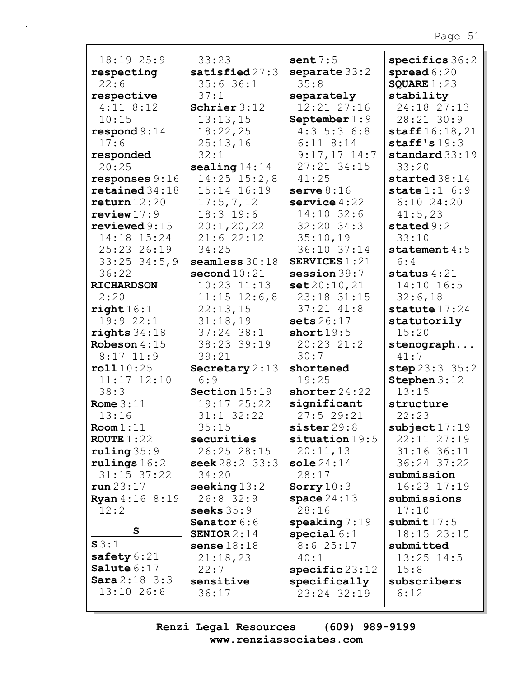| 18:19 25:9                | 33:23                     | sent $7:5$                          | specifics 36:2           |
|---------------------------|---------------------------|-------------------------------------|--------------------------|
| respecting                | satisfied $27:3$          | separate 33:2                       | spread $6:20$            |
| 22:6                      | 35:636:1                  | 35:8                                | SQUARE $1:23$            |
| respective                | 37:1                      | separately                          | stability                |
| $4:11$ 8:12               | Schrier $3:12$            | 12:21 27:16                         | 24:18 27:13              |
| 10:15                     | 13:13,15                  | September $1:9$                     | 28:21 30:9               |
| $\texttt{respond} 9:14$   | 18:22,25                  | $4:3$ 5:3 6:8                       | $\texttt{staff16:18,21}$ |
| 17:6                      | 25:13,16                  | $6:11$ $8:14$                       | staff's $19:3$           |
| responded                 | 32:1                      | $9:17,17$ 14:7                      | standard 33:19           |
| 20:25                     | sealing $14:14$           | $27:21$ 34:15                       | 33:20                    |
| responses $9:16$          | $14:25$ $15:2,8$          | 41:25                               | started 38:14            |
| retained 34:18            | 15:14 16:19               | serve $8:16$                        | state $1:1$ 6:9          |
| return 12:20              | 17:5,7,12                 | service $4:22$                      | $6:10$ 24:20             |
| review $17:9$             | 18:3 19:6                 | 14:10 32:6                          | 41:5,23                  |
| reviewed $9:15$           | 20:1, 20, 22              | $32:20$ $34:3$                      | stated $9:2$             |
| 14:18 15:24               | 21:622:12                 | 35:10,19                            | 33:10                    |
| 25:23 26:19               | 34:25<br>seamless 30:18   | 36:10 37:14<br><b>SERVICES 1:21</b> | statement $4:5$<br>6:4   |
| $33:25$ $34:5,9$<br>36:22 | second $10:21$            | session $39:7$                      | status $4:21$            |
| <b>RICHARDSON</b>         | $10:23$ $11:13$           | set 20:10,21                        | 14:10 16:5               |
| 2:20                      | $11:15$ $12:6,8$          | 23:18 31:15                         | 32:6,18                  |
| right16:1                 | 22:13,15                  | $37:21$ $41:8$                      | statute $17:24$          |
| 19:9 22:1                 | 31:18,19                  | sets $26:17$                        | statutorily              |
| $rights$ 34:18            | $37:24$ 38:1              | short $19:5$                        | 15:20                    |
| Robeson 4:15              | 38:23 39:19               | 20:23 21:2                          | stenograph               |
| $8:17$ 11:9               | 39:21                     | 30:7                                | 41:7                     |
| roll10:25                 | Secretary $2:13$          | shortened                           | step 23:3 35:2           |
| $11:17$ $12:10$           | 6:9                       | 19:25                               | Stephen 3:12             |
| 38:3                      | Section 15:19             | shorter $24:22$                     | 13:15                    |
| Rome $3:11$               | 19:17 25:22               | significant                         | structure                |
| 13:16                     | $31:1$ $32:22$            | 27:529:21                           | 22:23                    |
| Room 1:11                 | 35:15                     | sister 29:8                         | subject17:19             |
| ROUTE $1:22$              | securities                | situation 19:5                      | 22:11 27:19              |
| ruling 35:9               | 26:25 28:15               | 20:11,13                            | 31:16 36:11              |
| $r$ ulings $16:2$         | <b>seek</b> $28:2$ $33:3$ | sole $24:14$                        | 36:24 37:22              |
| $31:15$ $37:22$           | 34:20                     | 28:17                               | submission               |
| run23:17                  | seeking $13:2$            | Sorry $10:3$                        | 16:23 17:19              |
| <b>Ryan</b> 4:16 8:19     | $26:8$ 32:9               | space $24:13$                       | submissions              |
| 12:2                      | seeks $35:9$              | 28:16                               | 17:10                    |
| S                         | Senator 6:6               | $\text{speaking}$ 7:19              | submit $17:5$            |
| S3:1                      | SENIOR $2:14$             | special $6:1$                       | 18:15 23:15              |
| safety $6:21$             | sense $18:18$             | 8:625:17                            | submitted                |
| Salute 6:17               | 21:18,23                  | 40:1                                | $13:25$ 14:5             |
| <b>Sara</b> $2:18$ $3:3$  | 22:7<br>sensitive         | $specific\,23:12$                   | 15:8<br>subscribers      |
| 13:10 26:6                | 36:17                     | specifically<br>23:24 32:19         | 6:12                     |
|                           |                           |                                     |                          |
|                           |                           |                                     |                          |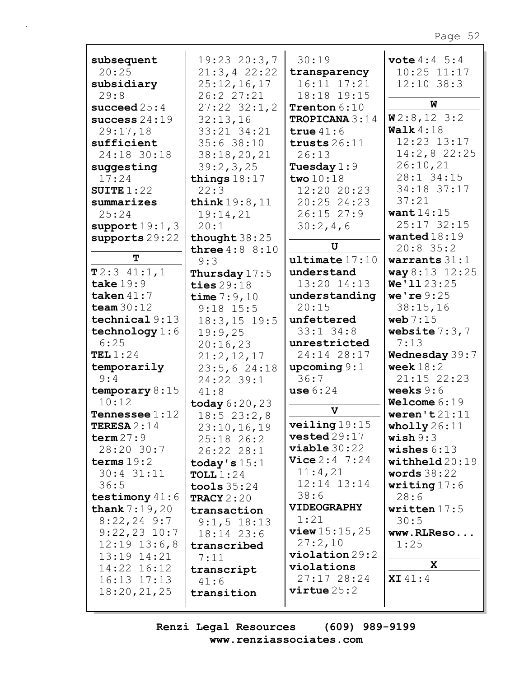| subsequent              | 19:23 20:3,7              | 30:19                  | <b>vote</b> $4:4 \ 5:4$ |
|-------------------------|---------------------------|------------------------|-------------------------|
| 20:25                   | 21:3,422:22               | transparency           | $10:25$ $11:17$         |
| subsidiary              | 25:12,16,17               | 16:11 17:21            | $12:10$ 38:3            |
| 29:8                    | 26:2 27:21                | 18:18 19:15            |                         |
| succeed $25:4$          | $27:22$ $32:1,2$          | Trenton 6:10           | W                       |
| success $24:19$         | 32:13,16                  | TROPICANA 3:14         | W2:8,123:2              |
| 29:17,18                | 33:21 34:21               | true $41:6$            | Walk $4:18$             |
| sufficient              | 35:638:10                 | trusts $26:11$         | 12:23 13:17             |
| 24:18 30:18             | 38:18,20,21               | 26:13                  | $14:2,8$ 22:25          |
| suggesting              | 39:2,3,25                 | Tuesday $1:9$          | 26:10,21                |
| 17:24                   | things $18:17$            | two $10:18$            | 28:1 34:15              |
|                         | 22:3                      | 12:20 20:23            | 34:18 37:17             |
| SUITE $1:22$            |                           |                        | 37:21                   |
| summarizes              | think 19:8, 11            | 20:25 24:23            |                         |
| 25:24                   | 19:14,21                  | $26:15$ $27:9$         | want $14:15$            |
| support19:1,3           | 20:1                      | 30:2,4,6               | 25:17 32:15             |
| supports 29:22          | thought $38:25$           |                        | wanted $18:19$          |
|                         | <b>three</b> $4:8$ $8:10$ | U                      | $20:8$ 35:2             |
| T                       | 9:3                       | ultime17:10            | warrants $31:1$         |
| T2:341:1,1              | Thursday $17:5$           | understand             | way 8:13 12:25          |
| take $19:9$             | ties $29:18$              | 13:20 14:13            | We'1123:25              |
| taken $41:7$            | time $7:9,10$             | understanding          | we're $9:25$            |
| team $30:12$            | $9:18$ 15:5               | 20:15                  | 38:15,16                |
| technical 9:13          | $18:3, 15$ 19:5           | unfettered             | web $7:15$              |
| technology $1:6$        | 19:9,25                   | $33:1$ $34:8$          | website $7:3,7$         |
| 6:25                    | 20:16,23                  | unrestricted           | 7:13                    |
| TEL $1:24$              |                           | 24:14 28:17            | Wednesday 39:7          |
|                         | 21:2,12,17                |                        |                         |
| temporarily             | 23:5,624:18               | upcoming $9:1$         | week $18:2$             |
| 9:4                     | 24:22 39:1                | 36:7                   | 21:15 22:23             |
| temporary $8:15$        | 41:8                      | use $6:24$             | weeks $9:6$             |
| 10:12                   | today $6:20,23$           | $\mathbf v$            | Welcome $6:19$          |
| <b>Tennessee</b> $1:12$ | 18:523:2,8                |                        | weren't $21:11$         |
| <b>TERESA</b> $2:14$    | 23:10,16,19               | veiling 19:15          | wholly $26:11$          |
| term 27:9               | 25:18 26:2                | $\texttt{vested}29:17$ | $\texttt{ wish} 9:3$    |
| 28:20 30:7              | 26:22 28:1                | viable 30:22           | wishes $6:13$           |
| terms $19:2$            | today's $15:1$            | <b>Vice</b> $2:4$ 7:24 | $width$ eld $20:19$     |
| 30:4 31:11              | TOLL $1:24$               | 11:4,21                | words $38:22$           |
| 36:5                    | tools $35:24$             | 12:14 13:14            | writing $17:6$          |
| testimony $41:6$        | TRACY $2:20$              | 38:6                   | 28:6                    |
| <b>thank</b> $7:19,20$  | transaction               | <b>VIDEOGRAPHY</b>     | written $17:5$          |
| $8:22,24$ 9:7           |                           | 1:21                   | 30:5                    |
| $9:22,23$ 10:7          | $9:1, 5$ 18:13            | view 15:15,25          |                         |
|                         | 18:14 23:6                | 27:2,10                | www.RLReso              |
| $12:19$ $13:6,8$        | transcribed               | $violation 29:2$       | 1:25                    |
| 13:19 14:21             | 7:11                      |                        | $\mathbf{x}$            |
| 14:22 16:12             | transcript                | violations             |                         |
| $16:13$ $17:13$         | 41:6                      | 27:17 28:24            | <b>XI</b> $41:4$        |
| 18:20,21,25             | transition                | $virtue 25:2$          |                         |
|                         |                           |                        |                         |